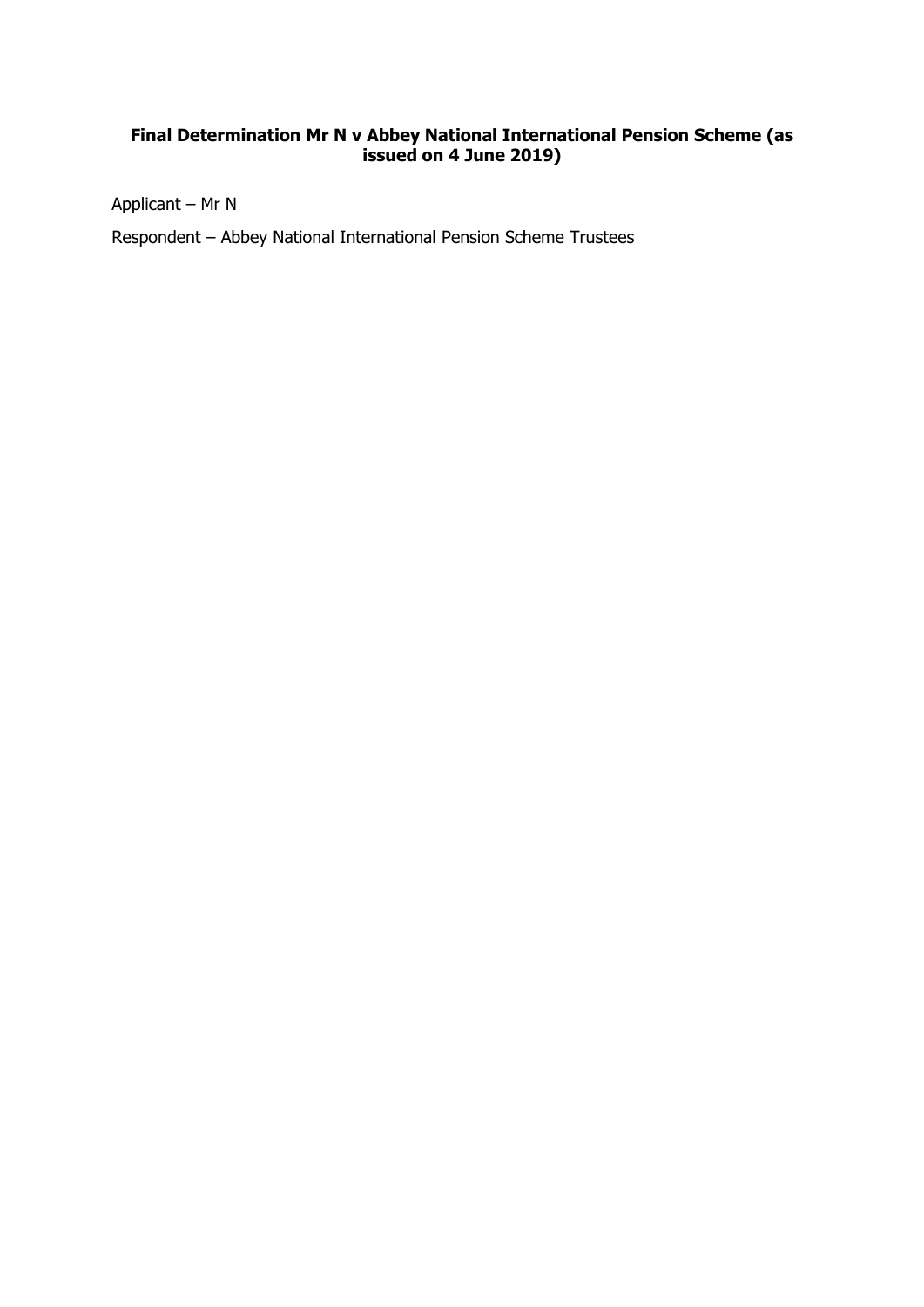# **Final Determination Mr N v Abbey National International Pension Scheme (as issued on 4 June 2019)**

Applicant – Mr N

Respondent – Abbey National International Pension Scheme Trustees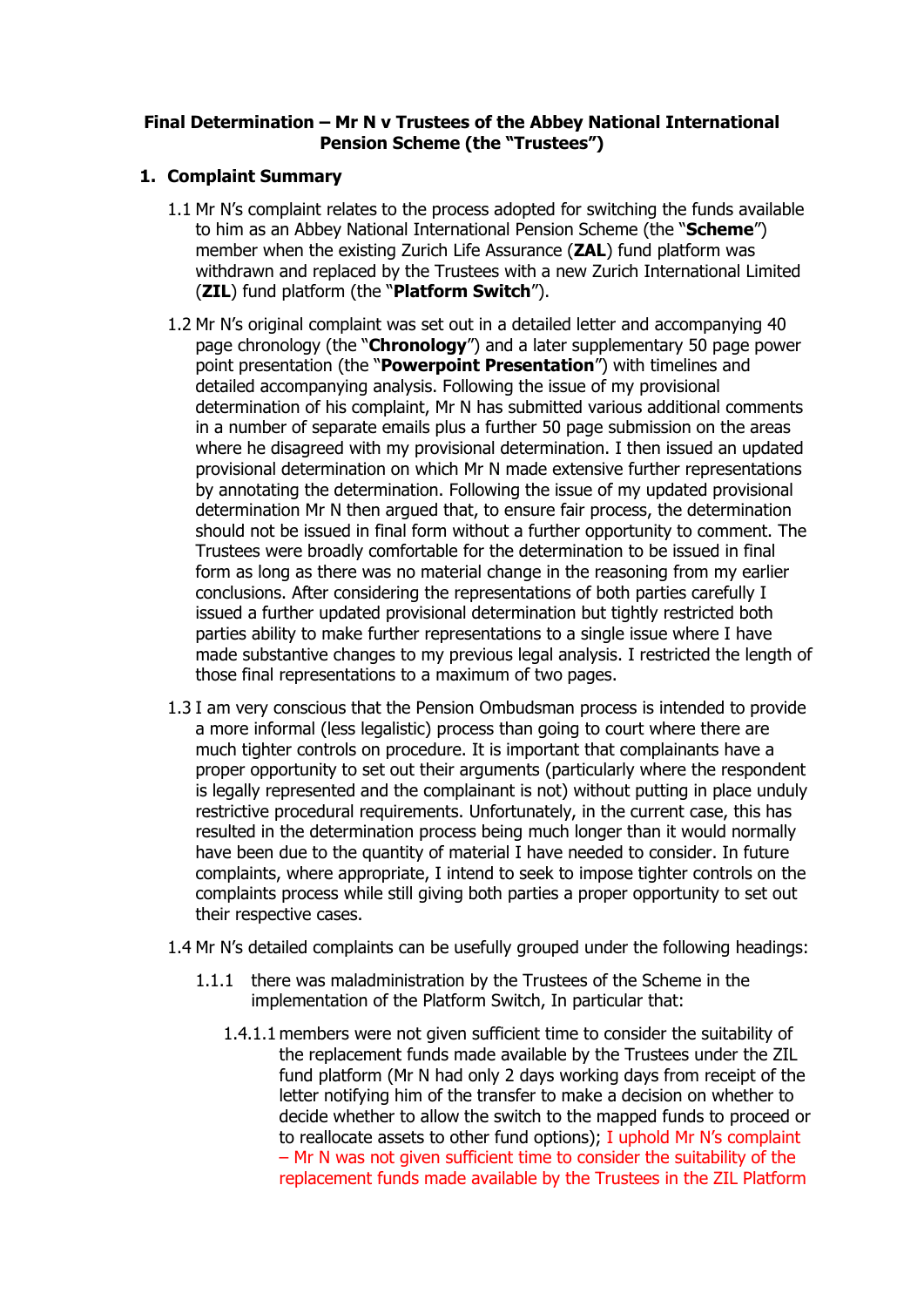# **Final Determination – Mr N v Trustees of the Abbey National International Pension Scheme (the "Trustees")**

# **1. Complaint Summary**

- 1.1 Mr N's complaint relates to the process adopted for switching the funds available to him as an Abbey National International Pension Scheme (the "**Scheme**") member when the existing Zurich Life Assurance (**ZAL**) fund platform was withdrawn and replaced by the Trustees with a new Zurich International Limited (**ZIL**) fund platform (the "**Platform Switch**").
- 1.2 Mr N's original complaint was set out in a detailed letter and accompanying 40 page chronology (the "**Chronology**") and a later supplementary 50 page power point presentation (the "**Powerpoint Presentation**") with timelines and detailed accompanying analysis. Following the issue of my provisional determination of his complaint, Mr N has submitted various additional comments in a number of separate emails plus a further 50 page submission on the areas where he disagreed with my provisional determination. I then issued an updated provisional determination on which Mr N made extensive further representations by annotating the determination. Following the issue of my updated provisional determination Mr N then argued that, to ensure fair process, the determination should not be issued in final form without a further opportunity to comment. The Trustees were broadly comfortable for the determination to be issued in final form as long as there was no material change in the reasoning from my earlier conclusions. After considering the representations of both parties carefully I issued a further updated provisional determination but tightly restricted both parties ability to make further representations to a single issue where I have made substantive changes to my previous legal analysis. I restricted the length of those final representations to a maximum of two pages.
- 1.3 I am very conscious that the Pension Ombudsman process is intended to provide a more informal (less legalistic) process than going to court where there are much tighter controls on procedure. It is important that complainants have a proper opportunity to set out their arguments (particularly where the respondent is legally represented and the complainant is not) without putting in place unduly restrictive procedural requirements. Unfortunately, in the current case, this has resulted in the determination process being much longer than it would normally have been due to the quantity of material I have needed to consider. In future complaints, where appropriate, I intend to seek to impose tighter controls on the complaints process while still giving both parties a proper opportunity to set out their respective cases.
- 1.4 Mr N's detailed complaints can be usefully grouped under the following headings:
	- 1.1.1 there was maladministration by the Trustees of the Scheme in the implementation of the Platform Switch, In particular that:
		- 1.4.1.1 members were not given sufficient time to consider the suitability of the replacement funds made available by the Trustees under the ZIL fund platform (Mr N had only 2 days working days from receipt of the letter notifying him of the transfer to make a decision on whether to decide whether to allow the switch to the mapped funds to proceed or to reallocate assets to other fund options); I uphold Mr N's complaint – Mr N was not given sufficient time to consider the suitability of the replacement funds made available by the Trustees in the ZIL Platform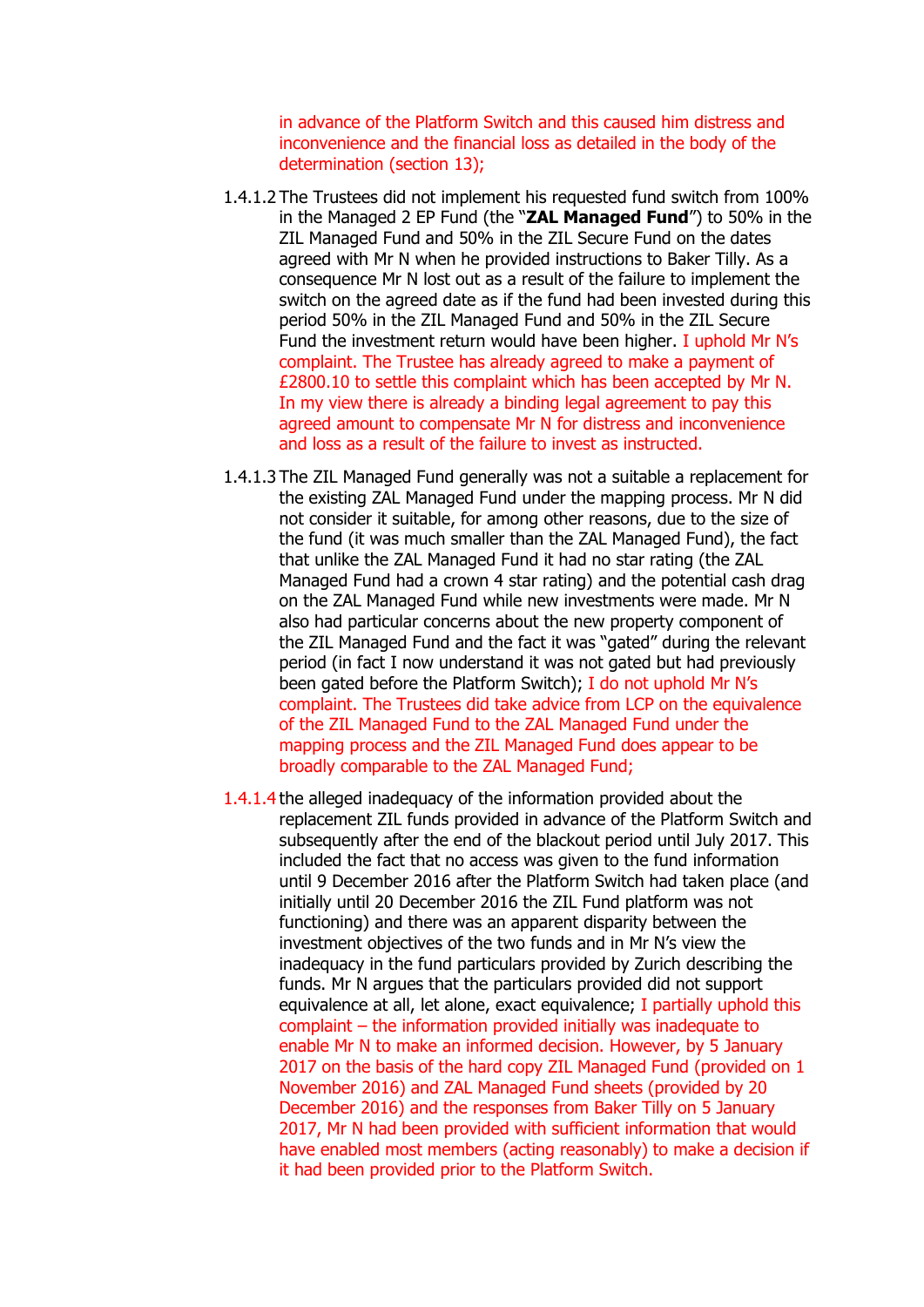in advance of the Platform Switch and this caused him distress and inconvenience and the financial loss as detailed in the body of the determination (section 13);

- 1.4.1.2 The Trustees did not implement his requested fund switch from 100% in the Managed 2 EP Fund (the "**ZAL Managed Fund**") to 50% in the ZIL Managed Fund and 50% in the ZIL Secure Fund on the dates agreed with Mr N when he provided instructions to Baker Tilly. As a consequence Mr N lost out as a result of the failure to implement the switch on the agreed date as if the fund had been invested during this period 50% in the ZIL Managed Fund and 50% in the ZIL Secure Fund the investment return would have been higher. I uphold Mr N's complaint. The Trustee has already agreed to make a payment of £2800.10 to settle this complaint which has been accepted by Mr N. In my view there is already a binding legal agreement to pay this agreed amount to compensate Mr N for distress and inconvenience and loss as a result of the failure to invest as instructed.
- 1.4.1.3 The ZIL Managed Fund generally was not a suitable a replacement for the existing ZAL Managed Fund under the mapping process. Mr N did not consider it suitable, for among other reasons, due to the size of the fund (it was much smaller than the ZAL Managed Fund), the fact that unlike the ZAL Managed Fund it had no star rating (the ZAL Managed Fund had a crown 4 star rating) and the potential cash drag on the ZAL Managed Fund while new investments were made. Mr N also had particular concerns about the new property component of the ZIL Managed Fund and the fact it was "gated" during the relevant period (in fact I now understand it was not gated but had previously been gated before the Platform Switch); I do not uphold Mr N's complaint. The Trustees did take advice from LCP on the equivalence of the ZIL Managed Fund to the ZAL Managed Fund under the mapping process and the ZIL Managed Fund does appear to be broadly comparable to the ZAL Managed Fund;
- 1.4.1.4 the alleged inadequacy of the information provided about the replacement ZIL funds provided in advance of the Platform Switch and subsequently after the end of the blackout period until July 2017. This included the fact that no access was given to the fund information until 9 December 2016 after the Platform Switch had taken place (and initially until 20 December 2016 the ZIL Fund platform was not functioning) and there was an apparent disparity between the investment objectives of the two funds and in Mr N's view the inadequacy in the fund particulars provided by Zurich describing the funds. Mr N argues that the particulars provided did not support equivalence at all, let alone, exact equivalence; I partially uphold this complaint – the information provided initially was inadequate to enable Mr N to make an informed decision. However, by 5 January 2017 on the basis of the hard copy ZIL Managed Fund (provided on 1) November 2016) and ZAL Managed Fund sheets (provided by 20 December 2016) and the responses from Baker Tilly on 5 January 2017, Mr N had been provided with sufficient information that would have enabled most members (acting reasonably) to make a decision if it had been provided prior to the Platform Switch.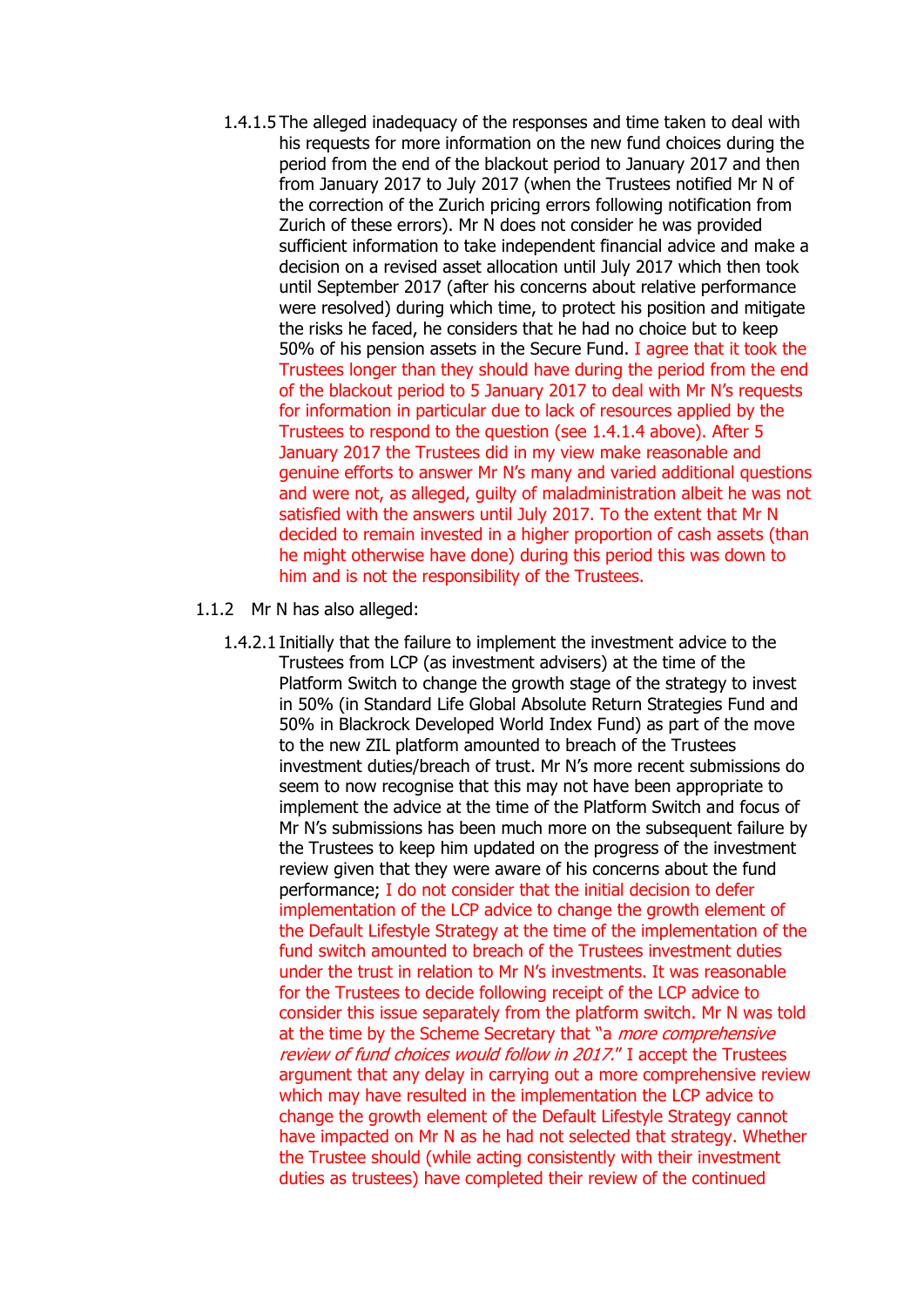- 1.4.1.5 The alleged inadequacy of the responses and time taken to deal with his requests for more information on the new fund choices during the period from the end of the blackout period to January 2017 and then from January 2017 to July 2017 (when the Trustees notified Mr N of the correction of the Zurich pricing errors following notification from Zurich of these errors). Mr N does not consider he was provided sufficient information to take independent financial advice and make a decision on a revised asset allocation until July 2017 which then took until September 2017 (after his concerns about relative performance were resolved) during which time, to protect his position and mitigate the risks he faced, he considers that he had no choice but to keep 50% of his pension assets in the Secure Fund. I agree that it took the Trustees longer than they should have during the period from the end of the blackout period to 5 January 2017 to deal with Mr N's requests for information in particular due to lack of resources applied by the Trustees to respond to the question (see 1.4.1.4 above). After 5 January 2017 the Trustees did in my view make reasonable and genuine efforts to answer Mr N's many and varied additional questions and were not, as alleged, guilty of maladministration albeit he was not satisfied with the answers until July 2017. To the extent that Mr N decided to remain invested in a higher proportion of cash assets (than he might otherwise have done) during this period this was down to him and is not the responsibility of the Trustees.
- 1.1.2 Mr N has also alleged:
	- 1.4.2.1 Initially that the failure to implement the investment advice to the Trustees from LCP (as investment advisers) at the time of the Platform Switch to change the growth stage of the strategy to invest in 50% (in Standard Life Global Absolute Return Strategies Fund and 50% in Blackrock Developed World Index Fund) as part of the move to the new ZIL platform amounted to breach of the Trustees investment duties/breach of trust. Mr N's more recent submissions do seem to now recognise that this may not have been appropriate to implement the advice at the time of the Platform Switch and focus of Mr N's submissions has been much more on the subsequent failure by the Trustees to keep him updated on the progress of the investment review given that they were aware of his concerns about the fund performance; I do not consider that the initial decision to defer implementation of the LCP advice to change the growth element of the Default Lifestyle Strategy at the time of the implementation of the fund switch amounted to breach of the Trustees investment duties under the trust in relation to Mr N's investments. It was reasonable for the Trustees to decide following receipt of the LCP advice to consider this issue separately from the platform switch. Mr N was told at the time by the Scheme Secretary that "a *more comprehensive* review of fund choices would follow in 2017." I accept the Trustees argument that any delay in carrying out a more comprehensive review which may have resulted in the implementation the LCP advice to change the growth element of the Default Lifestyle Strategy cannot have impacted on Mr N as he had not selected that strategy. Whether the Trustee should (while acting consistently with their investment duties as trustees) have completed their review of the continued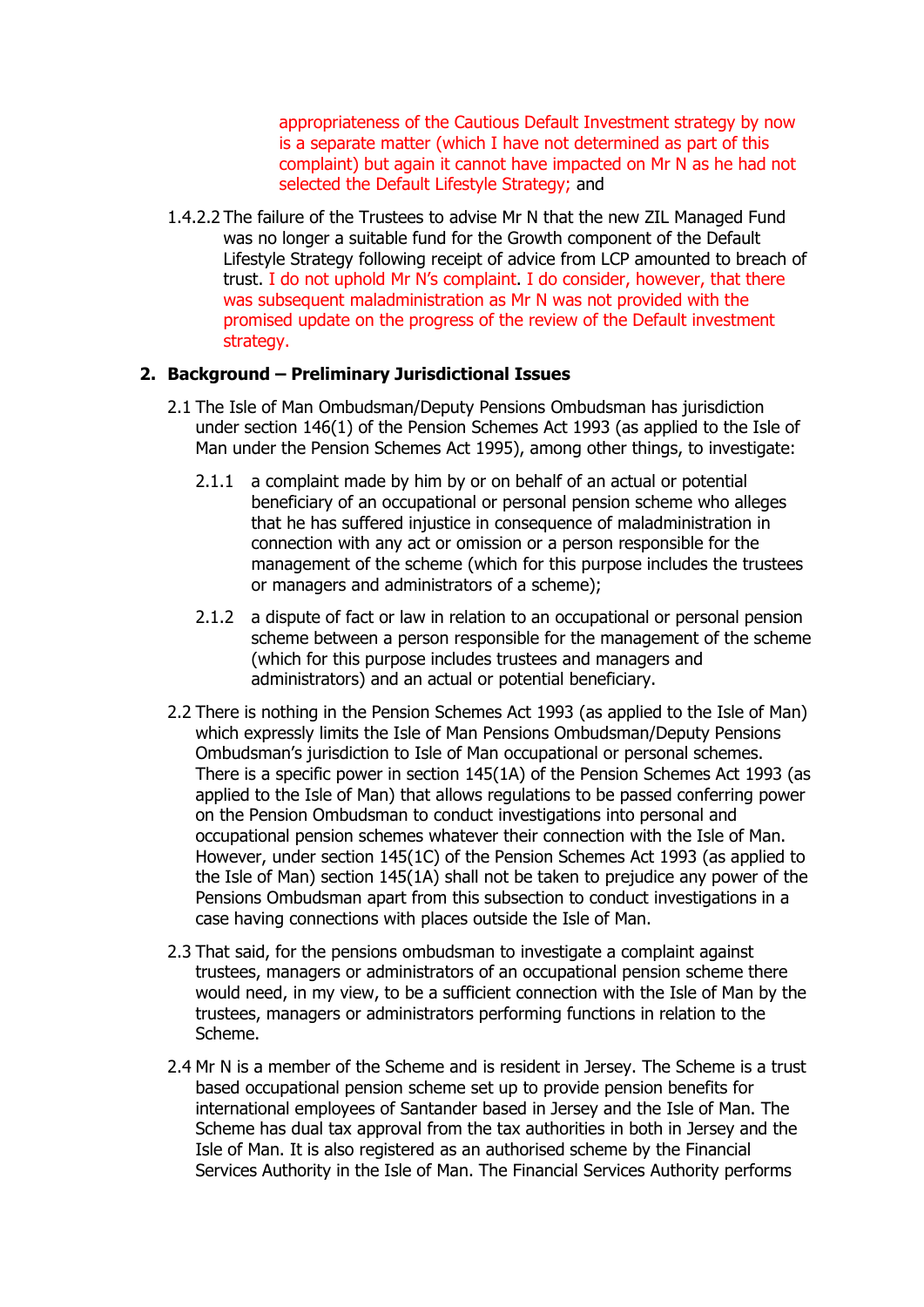appropriateness of the Cautious Default Investment strategy by now is a separate matter (which I have not determined as part of this complaint) but again it cannot have impacted on Mr N as he had not selected the Default Lifestyle Strategy; and

1.4.2.2 The failure of the Trustees to advise Mr N that the new ZIL Managed Fund was no longer a suitable fund for the Growth component of the Default Lifestyle Strategy following receipt of advice from LCP amounted to breach of trust. I do not uphold Mr N's complaint. I do consider, however, that there was subsequent maladministration as Mr N was not provided with the promised update on the progress of the review of the Default investment strategy.

# **2. Background – Preliminary Jurisdictional Issues**

- 2.1 The Isle of Man Ombudsman/Deputy Pensions Ombudsman has jurisdiction under section 146(1) of the Pension Schemes Act 1993 (as applied to the Isle of Man under the Pension Schemes Act 1995), among other things, to investigate:
	- 2.1.1 a complaint made by him by or on behalf of an actual or potential beneficiary of an occupational or personal pension scheme who alleges that he has suffered injustice in consequence of maladministration in connection with any act or omission or a person responsible for the management of the scheme (which for this purpose includes the trustees or managers and administrators of a scheme);
	- 2.1.2 a dispute of fact or law in relation to an occupational or personal pension scheme between a person responsible for the management of the scheme (which for this purpose includes trustees and managers and administrators) and an actual or potential beneficiary.
- 2.2 There is nothing in the Pension Schemes Act 1993 (as applied to the Isle of Man) which expressly limits the Isle of Man Pensions Ombudsman/Deputy Pensions Ombudsman's jurisdiction to Isle of Man occupational or personal schemes. There is a specific power in section 145(1A) of the Pension Schemes Act 1993 (as applied to the Isle of Man) that allows regulations to be passed conferring power on the Pension Ombudsman to conduct investigations into personal and occupational pension schemes whatever their connection with the Isle of Man. However, under section 145(1C) of the Pension Schemes Act 1993 (as applied to the Isle of Man) section 145(1A) shall not be taken to prejudice any power of the Pensions Ombudsman apart from this subsection to conduct investigations in a case having connections with places outside the Isle of Man.
- 2.3 That said, for the pensions ombudsman to investigate a complaint against trustees, managers or administrators of an occupational pension scheme there would need, in my view, to be a sufficient connection with the Isle of Man by the trustees, managers or administrators performing functions in relation to the Scheme.
- 2.4 Mr N is a member of the Scheme and is resident in Jersey. The Scheme is a trust based occupational pension scheme set up to provide pension benefits for international employees of Santander based in Jersey and the Isle of Man. The Scheme has dual tax approval from the tax authorities in both in Jersey and the Isle of Man. It is also registered as an authorised scheme by the Financial Services Authority in the Isle of Man. The Financial Services Authority performs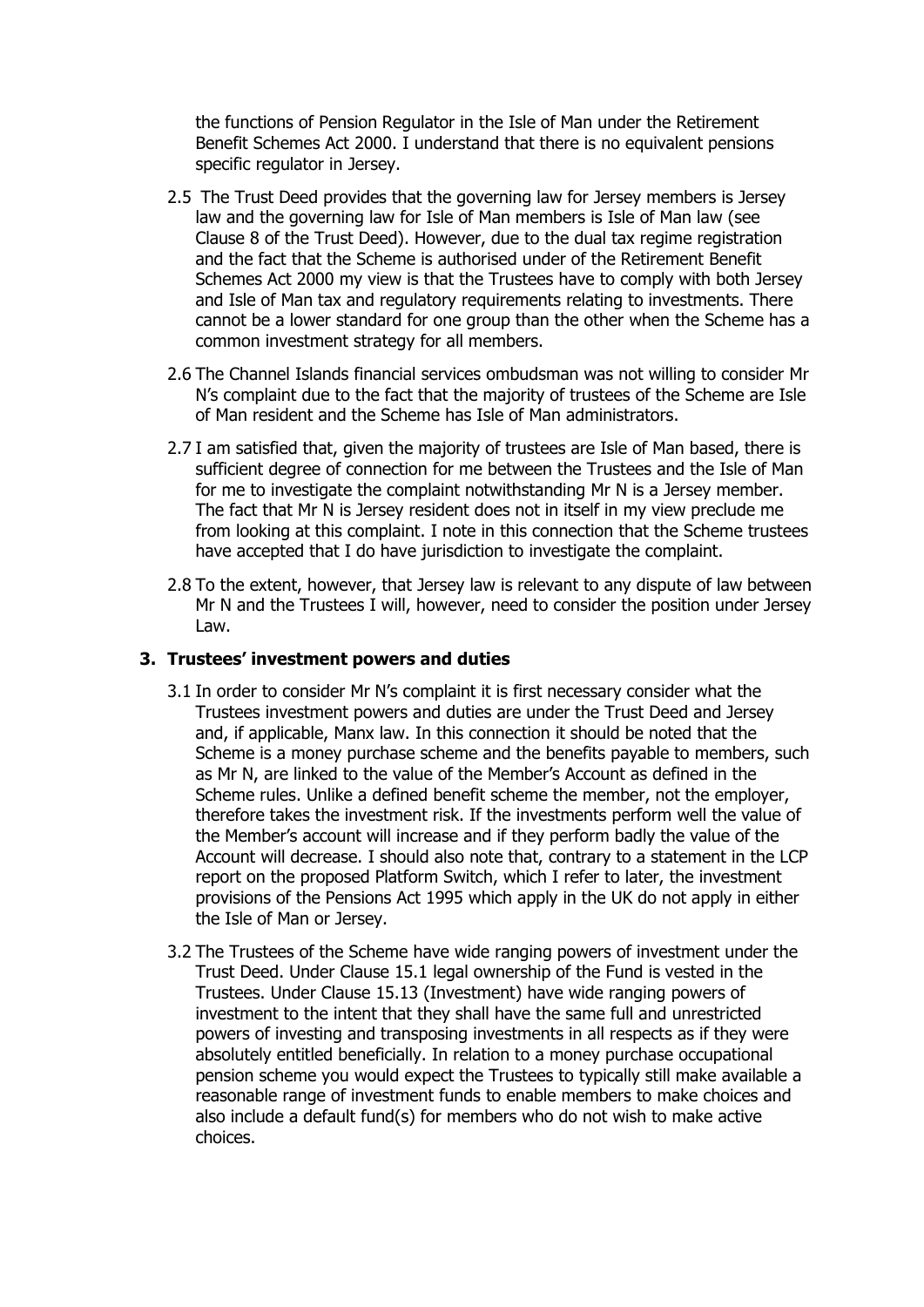the functions of Pension Regulator in the Isle of Man under the Retirement Benefit Schemes Act 2000. I understand that there is no equivalent pensions specific regulator in Jersey.

- 2.5 The Trust Deed provides that the governing law for Jersey members is Jersey law and the governing law for Isle of Man members is Isle of Man law (see Clause 8 of the Trust Deed). However, due to the dual tax regime registration and the fact that the Scheme is authorised under of the Retirement Benefit Schemes Act 2000 my view is that the Trustees have to comply with both Jersey and Isle of Man tax and regulatory requirements relating to investments. There cannot be a lower standard for one group than the other when the Scheme has a common investment strategy for all members.
- 2.6 The Channel Islands financial services ombudsman was not willing to consider Mr N's complaint due to the fact that the majority of trustees of the Scheme are Isle of Man resident and the Scheme has Isle of Man administrators.
- 2.7 I am satisfied that, given the majority of trustees are Isle of Man based, there is sufficient degree of connection for me between the Trustees and the Isle of Man for me to investigate the complaint notwithstanding Mr N is a Jersey member. The fact that Mr N is Jersey resident does not in itself in my view preclude me from looking at this complaint. I note in this connection that the Scheme trustees have accepted that I do have jurisdiction to investigate the complaint.
- 2.8 To the extent, however, that Jersey law is relevant to any dispute of law between Mr N and the Trustees I will, however, need to consider the position under Jersey Law.

#### **3. Trustees' investment powers and duties**

- 3.1 In order to consider Mr N's complaint it is first necessary consider what the Trustees investment powers and duties are under the Trust Deed and Jersey and, if applicable, Manx law. In this connection it should be noted that the Scheme is a money purchase scheme and the benefits payable to members, such as Mr N, are linked to the value of the Member's Account as defined in the Scheme rules. Unlike a defined benefit scheme the member, not the employer, therefore takes the investment risk. If the investments perform well the value of the Member's account will increase and if they perform badly the value of the Account will decrease. I should also note that, contrary to a statement in the LCP report on the proposed Platform Switch, which I refer to later, the investment provisions of the Pensions Act 1995 which apply in the UK do not apply in either the Isle of Man or Jersey.
- 3.2 The Trustees of the Scheme have wide ranging powers of investment under the Trust Deed. Under Clause 15.1 legal ownership of the Fund is vested in the Trustees. Under Clause 15.13 (Investment) have wide ranging powers of investment to the intent that they shall have the same full and unrestricted powers of investing and transposing investments in all respects as if they were absolutely entitled beneficially. In relation to a money purchase occupational pension scheme you would expect the Trustees to typically still make available a reasonable range of investment funds to enable members to make choices and also include a default fund(s) for members who do not wish to make active choices.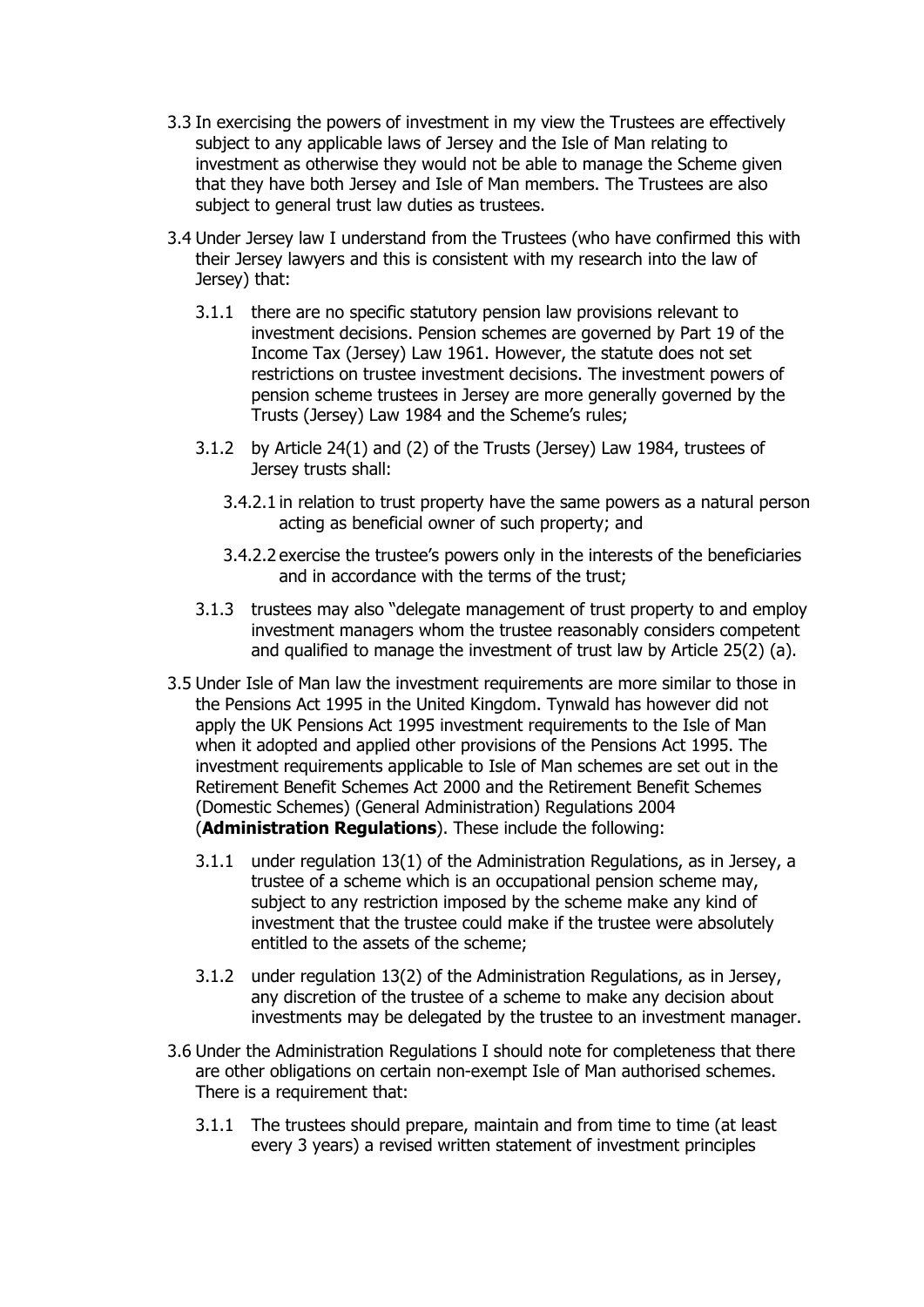- 3.3 In exercising the powers of investment in my view the Trustees are effectively subject to any applicable laws of Jersey and the Isle of Man relating to investment as otherwise they would not be able to manage the Scheme given that they have both Jersey and Isle of Man members. The Trustees are also subject to general trust law duties as trustees.
- 3.4 Under Jersey law I understand from the Trustees (who have confirmed this with their Jersey lawyers and this is consistent with my research into the law of Jersey) that:
	- 3.1.1 there are no specific statutory pension law provisions relevant to investment decisions. Pension schemes are governed by Part 19 of the Income Tax (Jersey) Law 1961. However, the statute does not set restrictions on trustee investment decisions. The investment powers of pension scheme trustees in Jersey are more generally governed by the Trusts (Jersey) Law 1984 and the Scheme's rules;
	- 3.1.2 by Article 24(1) and (2) of the Trusts (Jersey) Law 1984, trustees of Jersey trusts shall:
		- 3.4.2.1 in relation to trust property have the same powers as a natural person acting as beneficial owner of such property; and
		- 3.4.2.2 exercise the trustee's powers only in the interests of the beneficiaries and in accordance with the terms of the trust;
	- 3.1.3 trustees may also "delegate management of trust property to and employ investment managers whom the trustee reasonably considers competent and qualified to manage the investment of trust law by Article 25(2) (a).
- 3.5 Under Isle of Man law the investment requirements are more similar to those in the Pensions Act 1995 in the United Kingdom. Tynwald has however did not apply the UK Pensions Act 1995 investment requirements to the Isle of Man when it adopted and applied other provisions of the Pensions Act 1995. The investment requirements applicable to Isle of Man schemes are set out in the Retirement Benefit Schemes Act 2000 and the Retirement Benefit Schemes (Domestic Schemes) (General Administration) Regulations 2004 (**Administration Regulations**). These include the following:
	- 3.1.1 under regulation 13(1) of the Administration Regulations, as in Jersey, a trustee of a scheme which is an occupational pension scheme may, subject to any restriction imposed by the scheme make any kind of investment that the trustee could make if the trustee were absolutely entitled to the assets of the scheme;
	- 3.1.2 under regulation 13(2) of the Administration Regulations, as in Jersey, any discretion of the trustee of a scheme to make any decision about investments may be delegated by the trustee to an investment manager.
- 3.6 Under the Administration Regulations I should note for completeness that there are other obligations on certain non-exempt Isle of Man authorised schemes. There is a requirement that:
	- 3.1.1 The trustees should prepare, maintain and from time to time (at least every 3 years) a revised written statement of investment principles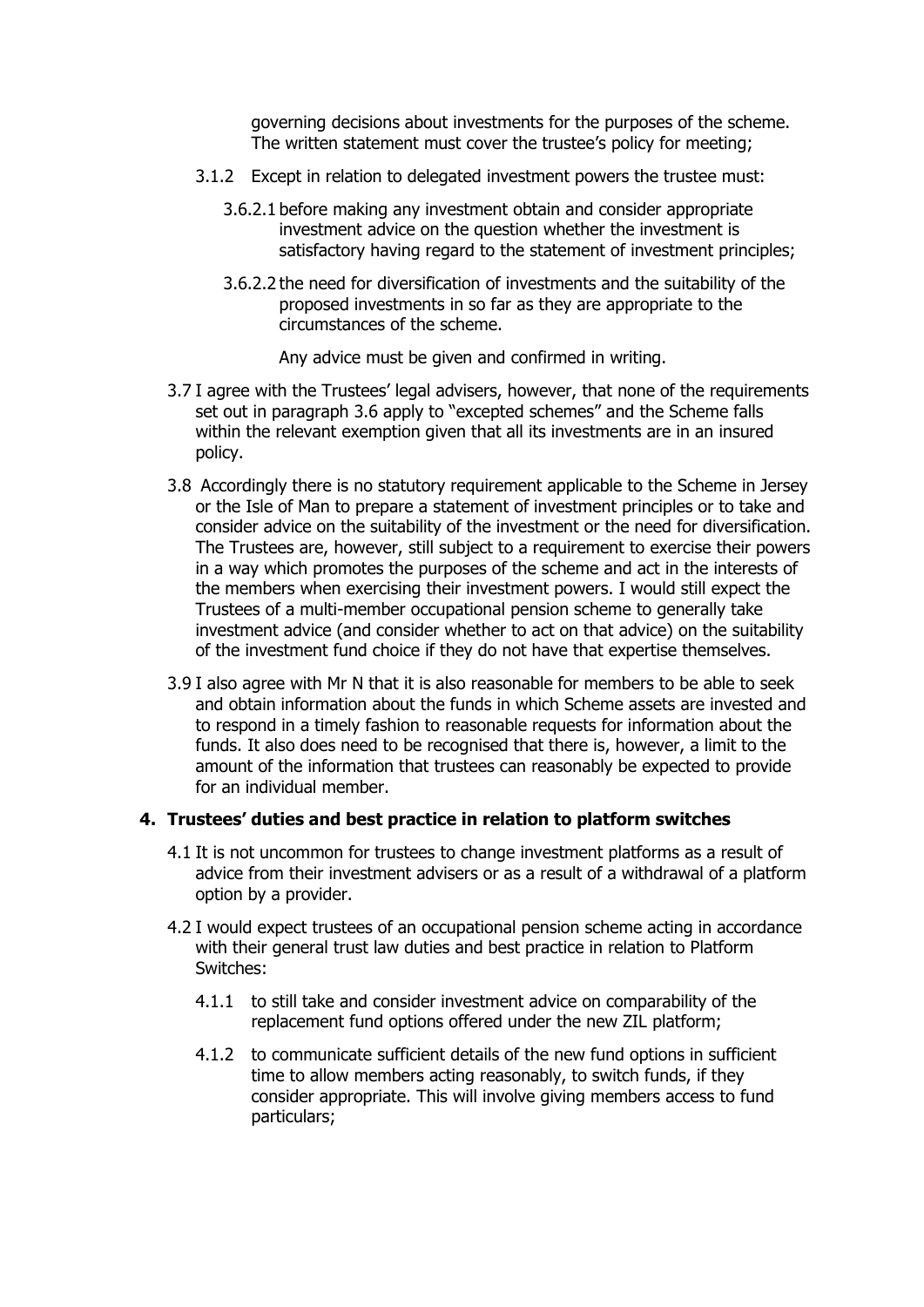governing decisions about investments for the purposes of the scheme. The written statement must cover the trustee's policy for meeting;

- 3.1.2 Except in relation to delegated investment powers the trustee must:
	- 3.6.2.1 before making any investment obtain and consider appropriate investment advice on the question whether the investment is satisfactory having regard to the statement of investment principles;
	- 3.6.2.2 the need for diversification of investments and the suitability of the proposed investments in so far as they are appropriate to the circumstances of the scheme.

Any advice must be given and confirmed in writing.

- 3.7 I agree with the Trustees' legal advisers, however, that none of the requirements set out in paragraph 3.6 apply to "excepted schemes" and the Scheme falls within the relevant exemption given that all its investments are in an insured policy.
- 3.8 Accordingly there is no statutory requirement applicable to the Scheme in Jersey or the Isle of Man to prepare a statement of investment principles or to take and consider advice on the suitability of the investment or the need for diversification. The Trustees are, however, still subject to a requirement to exercise their powers in a way which promotes the purposes of the scheme and act in the interests of the members when exercising their investment powers. I would still expect the Trustees of a multi-member occupational pension scheme to generally take investment advice (and consider whether to act on that advice) on the suitability of the investment fund choice if they do not have that expertise themselves.
- 3.9 I also agree with Mr N that it is also reasonable for members to be able to seek and obtain information about the funds in which Scheme assets are invested and to respond in a timely fashion to reasonable requests for information about the funds. It also does need to be recognised that there is, however, a limit to the amount of the information that trustees can reasonably be expected to provide for an individual member.

#### **4. Trustees' duties and best practice in relation to platform switches**

- 4.1 It is not uncommon for trustees to change investment platforms as a result of advice from their investment advisers or as a result of a withdrawal of a platform option by a provider.
- 4.2 I would expect trustees of an occupational pension scheme acting in accordance with their general trust law duties and best practice in relation to Platform Switches:
	- 4.1.1 to still take and consider investment advice on comparability of the replacement fund options offered under the new ZIL platform;
	- 4.1.2 to communicate sufficient details of the new fund options in sufficient time to allow members acting reasonably, to switch funds, if they consider appropriate. This will involve giving members access to fund particulars;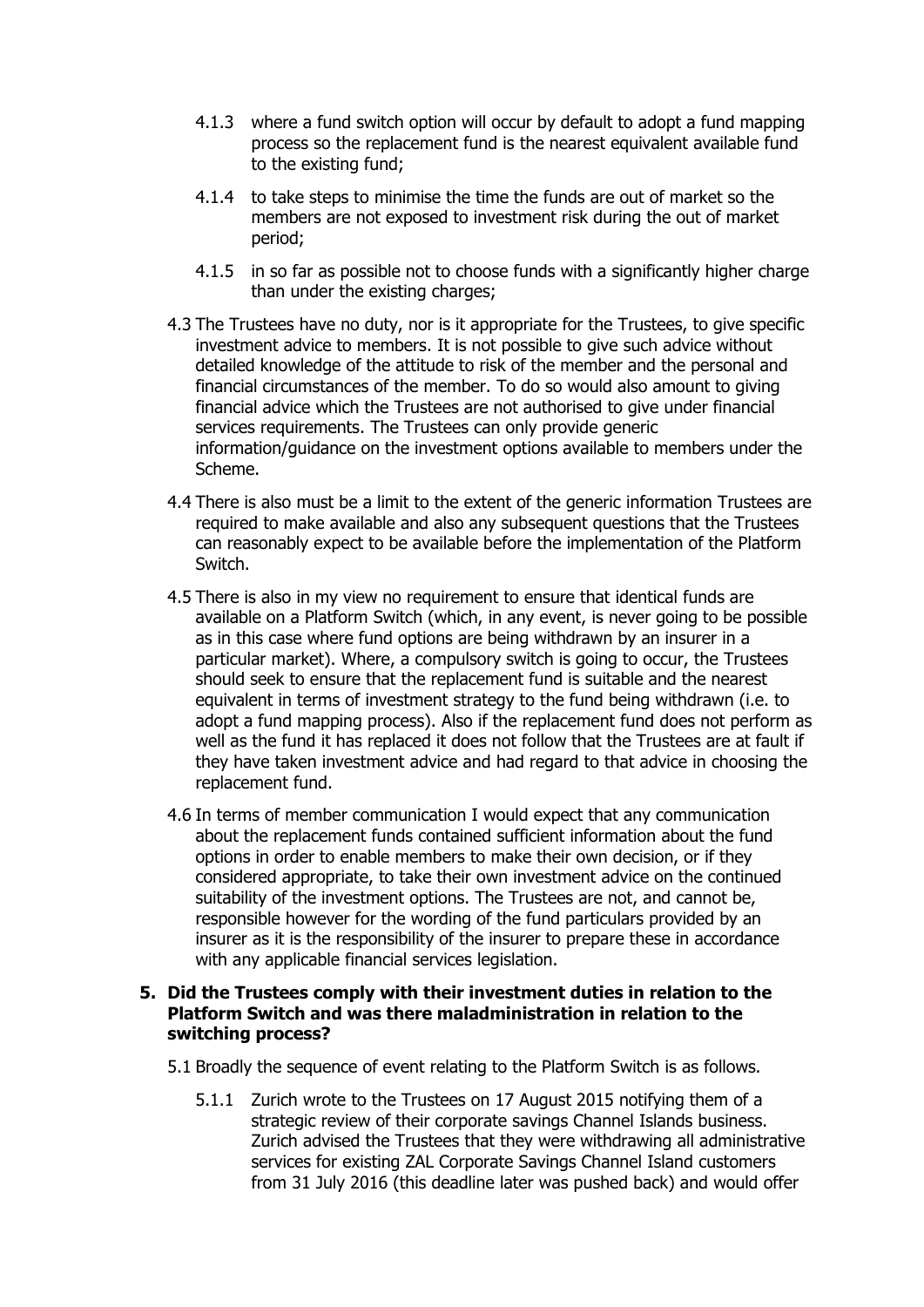- 4.1.3 where a fund switch option will occur by default to adopt a fund mapping process so the replacement fund is the nearest equivalent available fund to the existing fund;
- 4.1.4 to take steps to minimise the time the funds are out of market so the members are not exposed to investment risk during the out of market period;
- 4.1.5 in so far as possible not to choose funds with a significantly higher charge than under the existing charges;
- 4.3 The Trustees have no duty, nor is it appropriate for the Trustees, to give specific investment advice to members. It is not possible to give such advice without detailed knowledge of the attitude to risk of the member and the personal and financial circumstances of the member. To do so would also amount to giving financial advice which the Trustees are not authorised to give under financial services requirements. The Trustees can only provide generic information/guidance on the investment options available to members under the Scheme.
- 4.4 There is also must be a limit to the extent of the generic information Trustees are required to make available and also any subsequent questions that the Trustees can reasonably expect to be available before the implementation of the Platform Switch.
- 4.5 There is also in my view no requirement to ensure that identical funds are available on a Platform Switch (which, in any event, is never going to be possible as in this case where fund options are being withdrawn by an insurer in a particular market). Where, a compulsory switch is going to occur, the Trustees should seek to ensure that the replacement fund is suitable and the nearest equivalent in terms of investment strategy to the fund being withdrawn (i.e. to adopt a fund mapping process). Also if the replacement fund does not perform as well as the fund it has replaced it does not follow that the Trustees are at fault if they have taken investment advice and had regard to that advice in choosing the replacement fund.
- 4.6 In terms of member communication I would expect that any communication about the replacement funds contained sufficient information about the fund options in order to enable members to make their own decision, or if they considered appropriate, to take their own investment advice on the continued suitability of the investment options. The Trustees are not, and cannot be, responsible however for the wording of the fund particulars provided by an insurer as it is the responsibility of the insurer to prepare these in accordance with any applicable financial services legislation.

# **5. Did the Trustees comply with their investment duties in relation to the Platform Switch and was there maladministration in relation to the switching process?**

- 5.1 Broadly the sequence of event relating to the Platform Switch is as follows.
	- 5.1.1 Zurich wrote to the Trustees on 17 August 2015 notifying them of a strategic review of their corporate savings Channel Islands business. Zurich advised the Trustees that they were withdrawing all administrative services for existing ZAL Corporate Savings Channel Island customers from 31 July 2016 (this deadline later was pushed back) and would offer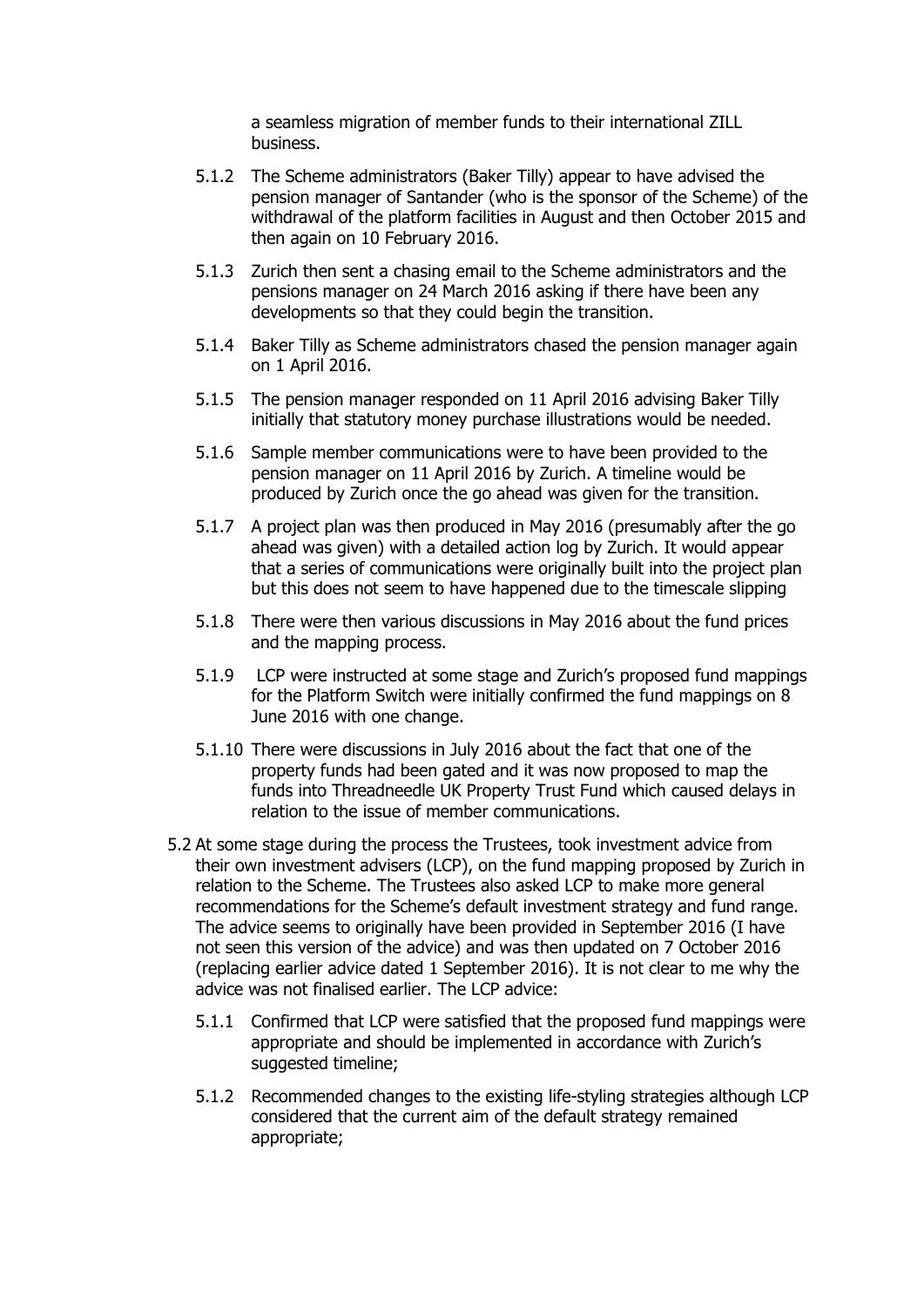a seamless migration of member funds to their international ZILL business.

- 5.1.2 The Scheme administrators (Baker Tilly) appear to have advised the pension manager of Santander (who is the sponsor of the Scheme) of the withdrawal of the platform facilities in August and then October 2015 and then again on 10 February 2016.
- 5.1.3 Zurich then sent a chasing email to the Scheme administrators and the pensions manager on 24 March 2016 asking if there have been any developments so that they could begin the transition.
- 5.1.4 Baker Tilly as Scheme administrators chased the pension manager again on 1 April 2016.
- 5.1.5 The pension manager responded on 11 April 2016 advising Baker Tilly initially that statutory money purchase illustrations would be needed.
- 5.1.6 Sample member communications were to have been provided to the pension manager on 11 April 2016 by Zurich. A timeline would be produced by Zurich once the go ahead was given for the transition.
- 5.1.7 A project plan was then produced in May 2016 (presumably after the go ahead was given) with a detailed action log by Zurich. It would appear that a series of communications were originally built into the project plan but this does not seem to have happened due to the timescale slipping
- 5.1.8 There were then various discussions in May 2016 about the fund prices and the mapping process.
- 5.1.9 LCP were instructed at some stage and Zurich's proposed fund mappings for the Platform Switch were initially confirmed the fund mappings on 8 June 2016 with one change.
- 5.1.10 There were discussions in July 2016 about the fact that one of the property funds had been gated and it was now proposed to map the funds into Threadneedle UK Property Trust Fund which caused delays in relation to the issue of member communications.
- 5.2 At some stage during the process the Trustees, took investment advice from their own investment advisers (LCP), on the fund mapping proposed by Zurich in relation to the Scheme. The Trustees also asked LCP to make more general recommendations for the Scheme's default investment strategy and fund range. The advice seems to originally have been provided in September 2016 (I have not seen this version of the advice) and was then updated on 7 October 2016 (replacing earlier advice dated 1 September 2016). It is not clear to me why the advice was not finalised earlier. The LCP advice:
	- 5.1.1 Confirmed that LCP were satisfied that the proposed fund mappings were appropriate and should be implemented in accordance with Zurich's suggested timeline;
	- 5.1.2 Recommended changes to the existing life-styling strategies although LCP considered that the current aim of the default strategy remained appropriate;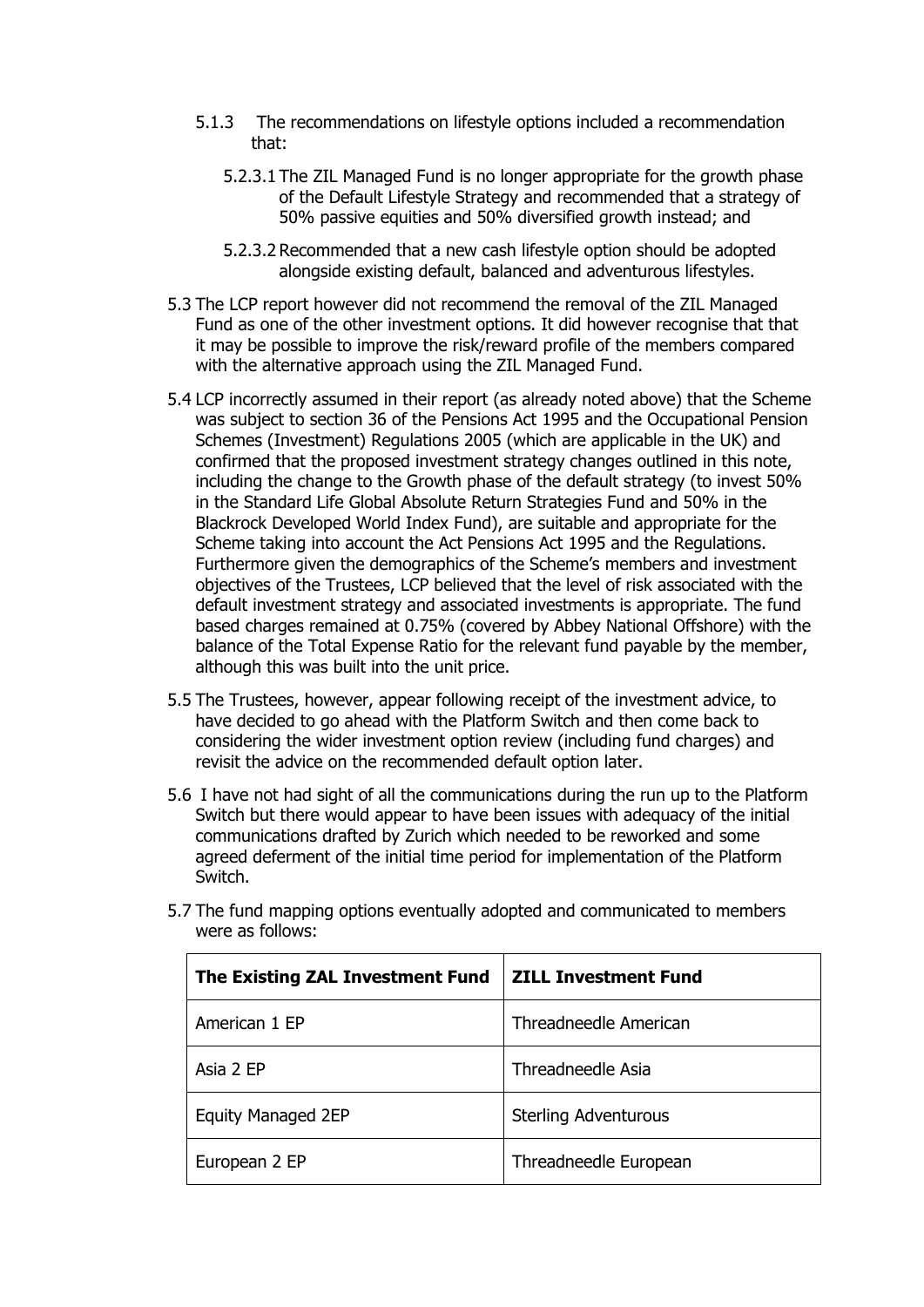- 5.1.3 The recommendations on lifestyle options included a recommendation that:
	- 5.2.3.1 The ZIL Managed Fund is no longer appropriate for the growth phase of the Default Lifestyle Strategy and recommended that a strategy of 50% passive equities and 50% diversified growth instead; and
	- 5.2.3.2 Recommended that a new cash lifestyle option should be adopted alongside existing default, balanced and adventurous lifestyles.
- 5.3 The LCP report however did not recommend the removal of the ZIL Managed Fund as one of the other investment options. It did however recognise that that it may be possible to improve the risk/reward profile of the members compared with the alternative approach using the ZIL Managed Fund.
- 5.4 LCP incorrectly assumed in their report (as already noted above) that the Scheme was subject to section 36 of the Pensions Act 1995 and the Occupational Pension Schemes (Investment) Regulations 2005 (which are applicable in the UK) and confirmed that the proposed investment strategy changes outlined in this note, including the change to the Growth phase of the default strategy (to invest 50% in the Standard Life Global Absolute Return Strategies Fund and 50% in the Blackrock Developed World Index Fund), are suitable and appropriate for the Scheme taking into account the Act Pensions Act 1995 and the Regulations. Furthermore given the demographics of the Scheme's members and investment objectives of the Trustees, LCP believed that the level of risk associated with the default investment strategy and associated investments is appropriate. The fund based charges remained at 0.75% (covered by Abbey National Offshore) with the balance of the Total Expense Ratio for the relevant fund payable by the member, although this was built into the unit price.
- 5.5 The Trustees, however, appear following receipt of the investment advice, to have decided to go ahead with the Platform Switch and then come back to considering the wider investment option review (including fund charges) and revisit the advice on the recommended default option later.
- 5.6 I have not had sight of all the communications during the run up to the Platform Switch but there would appear to have been issues with adequacy of the initial communications drafted by Zurich which needed to be reworked and some agreed deferment of the initial time period for implementation of the Platform Switch.

| The Existing ZAL Investment Fund | <b>ZILL Investment Fund</b> |
|----------------------------------|-----------------------------|
| American 1 EP                    | Threadneedle American       |
| Asia 2 EP                        | Threadneedle Asia           |
| <b>Equity Managed 2EP</b>        | <b>Sterling Adventurous</b> |
| European 2 EP                    | Threadneedle European       |

5.7 The fund mapping options eventually adopted and communicated to members were as follows: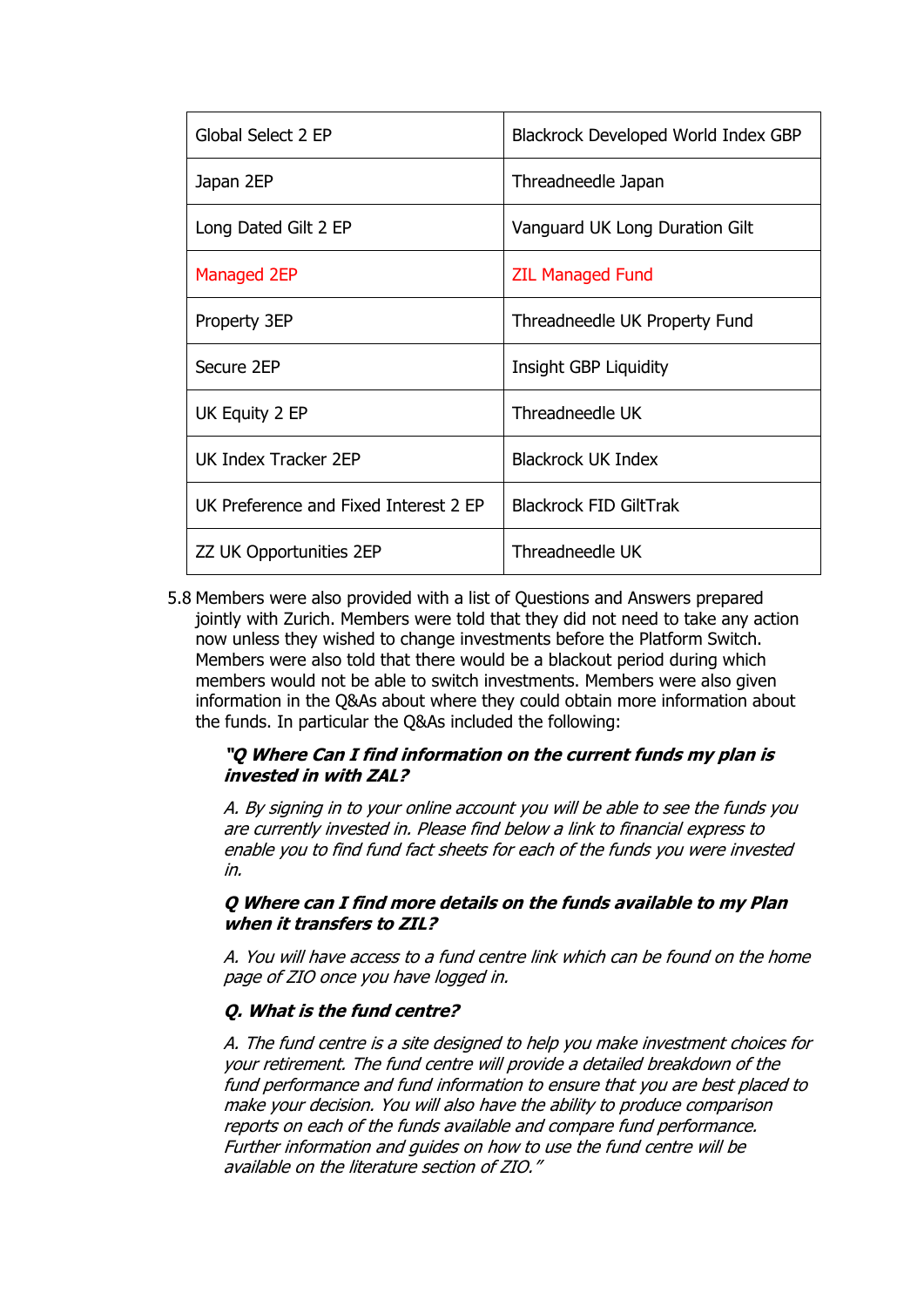| Global Select 2 EP                    | Blackrock Developed World Index GBP |  |
|---------------------------------------|-------------------------------------|--|
| Japan 2EP                             | Threadneedle Japan                  |  |
| Long Dated Gilt 2 EP                  | Vanguard UK Long Duration Gilt      |  |
| Managed 2EP                           | <b>ZIL Managed Fund</b>             |  |
| Property 3EP                          | Threadneedle UK Property Fund       |  |
| Secure 2EP                            | Insight GBP Liquidity               |  |
| UK Equity 2 EP                        | Threadneedle UK                     |  |
| UK Index Tracker 2EP                  | <b>Blackrock UK Index</b>           |  |
| UK Preference and Fixed Interest 2 EP | <b>Blackrock FID GiltTrak</b>       |  |
| ZZ UK Opportunities 2EP               | Threadneedle UK                     |  |

5.8 Members were also provided with a list of Questions and Answers prepared jointly with Zurich. Members were told that they did not need to take any action now unless they wished to change investments before the Platform Switch. Members were also told that there would be a blackout period during which members would not be able to switch investments. Members were also given information in the Q&As about where they could obtain more information about the funds. In particular the Q&As included the following:

# **"Q Where Can I find information on the current funds my plan is invested in with ZAL?**

A. By signing in to your online account you will be able to see the funds you are currently invested in. Please find below a link to financial express to enable you to find fund fact sheets for each of the funds you were invested in.

#### **Q Where can I find more details on the funds available to my Plan when it transfers to ZIL?**

A. You will have access to a fund centre link which can be found on the home page of ZIO once you have logged in.

# **Q. What is the fund centre?**

A. The fund centre is a site designed to help you make investment choices for your retirement. The fund centre will provide a detailed breakdown of the fund performance and fund information to ensure that you are best placed to make your decision. You will also have the ability to produce comparison reports on each of the funds available and compare fund performance. Further information and guides on how to use the fund centre will be available on the literature section of ZIO."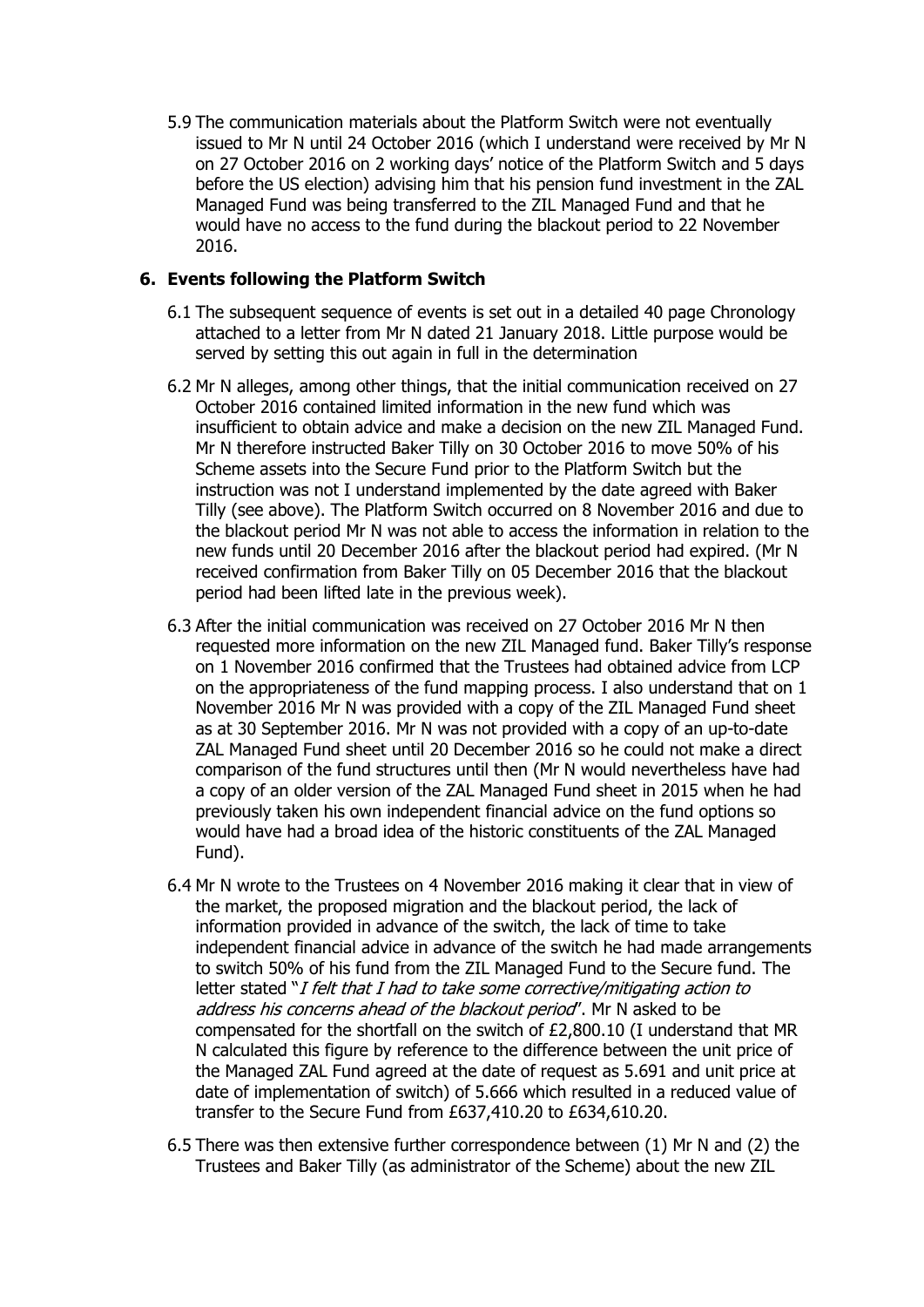5.9 The communication materials about the Platform Switch were not eventually issued to Mr N until 24 October 2016 (which I understand were received by Mr N on 27 October 2016 on 2 working days' notice of the Platform Switch and 5 days before the US election) advising him that his pension fund investment in the ZAL Managed Fund was being transferred to the ZIL Managed Fund and that he would have no access to the fund during the blackout period to 22 November 2016.

# **6. Events following the Platform Switch**

- 6.1 The subsequent sequence of events is set out in a detailed 40 page Chronology attached to a letter from Mr N dated 21 January 2018. Little purpose would be served by setting this out again in full in the determination
- 6.2 Mr N alleges, among other things, that the initial communication received on 27 October 2016 contained limited information in the new fund which was insufficient to obtain advice and make a decision on the new ZIL Managed Fund. Mr N therefore instructed Baker Tilly on 30 October 2016 to move 50% of his Scheme assets into the Secure Fund prior to the Platform Switch but the instruction was not I understand implemented by the date agreed with Baker Tilly (see above). The Platform Switch occurred on 8 November 2016 and due to the blackout period Mr N was not able to access the information in relation to the new funds until 20 December 2016 after the blackout period had expired. (Mr N received confirmation from Baker Tilly on 05 December 2016 that the blackout period had been lifted late in the previous week).
- 6.3 After the initial communication was received on 27 October 2016 Mr N then requested more information on the new ZIL Managed fund. Baker Tilly's response on 1 November 2016 confirmed that the Trustees had obtained advice from LCP on the appropriateness of the fund mapping process. I also understand that on 1 November 2016 Mr N was provided with a copy of the ZIL Managed Fund sheet as at 30 September 2016. Mr N was not provided with a copy of an up-to-date ZAL Managed Fund sheet until 20 December 2016 so he could not make a direct comparison of the fund structures until then (Mr N would nevertheless have had a copy of an older version of the ZAL Managed Fund sheet in 2015 when he had previously taken his own independent financial advice on the fund options so would have had a broad idea of the historic constituents of the ZAL Managed Fund).
- 6.4 Mr N wrote to the Trustees on 4 November 2016 making it clear that in view of the market, the proposed migration and the blackout period, the lack of information provided in advance of the switch, the lack of time to take independent financial advice in advance of the switch he had made arrangements to switch 50% of his fund from the ZIL Managed Fund to the Secure fund. The letter stated "I felt that I had to take some corrective/mitigating action to address his concerns ahead of the blackout period'. Mr N asked to be compensated for the shortfall on the switch of £2,800.10 (I understand that MR N calculated this figure by reference to the difference between the unit price of the Managed ZAL Fund agreed at the date of request as 5.691 and unit price at date of implementation of switch) of 5.666 which resulted in a reduced value of transfer to the Secure Fund from £637,410.20 to £634,610.20.
- 6.5 There was then extensive further correspondence between (1) Mr N and (2) the Trustees and Baker Tilly (as administrator of the Scheme) about the new ZIL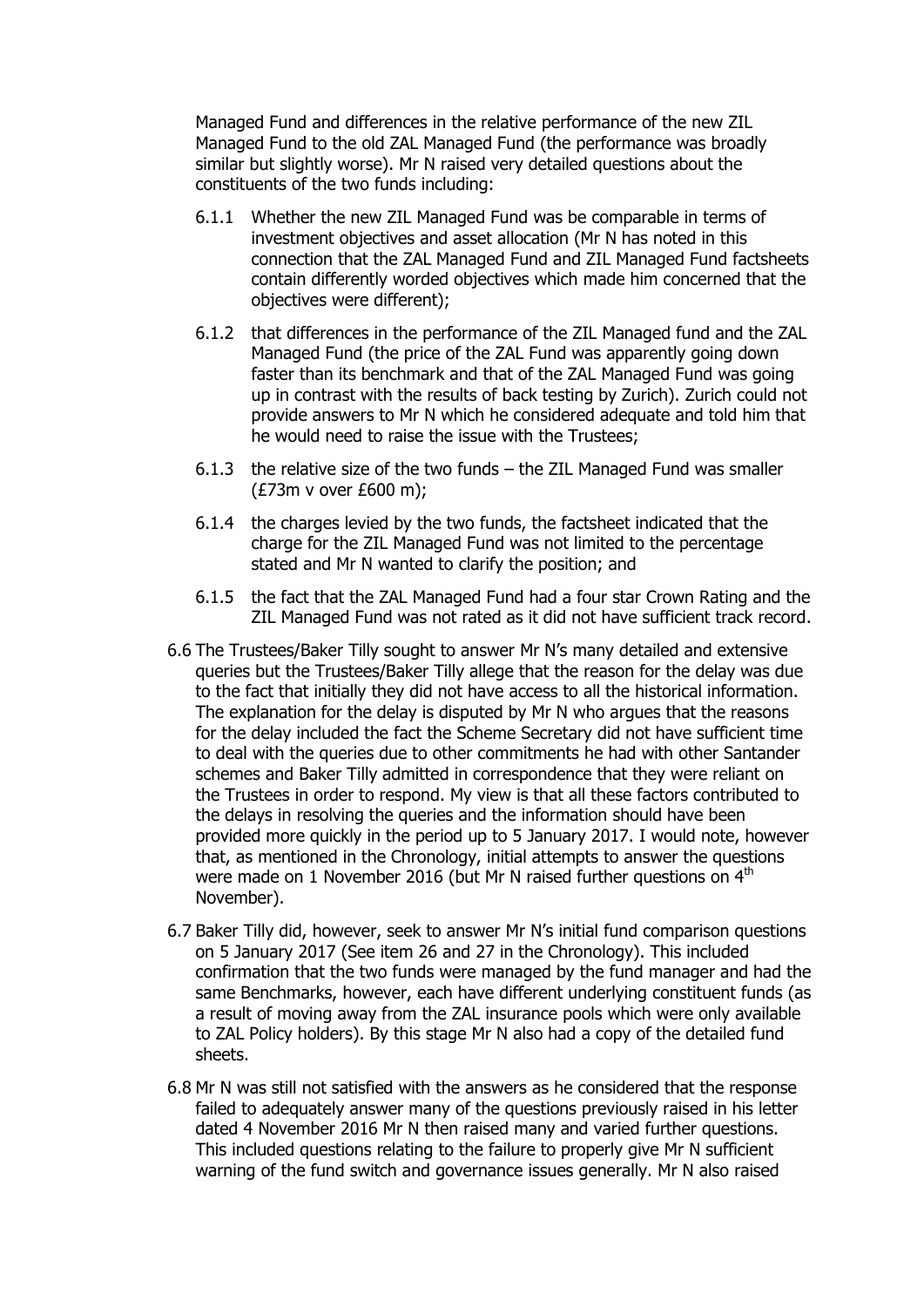Managed Fund and differences in the relative performance of the new ZIL Managed Fund to the old ZAL Managed Fund (the performance was broadly similar but slightly worse). Mr N raised very detailed questions about the constituents of the two funds including:

- 6.1.1 Whether the new ZIL Managed Fund was be comparable in terms of investment objectives and asset allocation (Mr N has noted in this connection that the ZAL Managed Fund and ZIL Managed Fund factsheets contain differently worded objectives which made him concerned that the objectives were different);
- 6.1.2 that differences in the performance of the ZIL Managed fund and the ZAL Managed Fund (the price of the ZAL Fund was apparently going down faster than its benchmark and that of the ZAL Managed Fund was going up in contrast with the results of back testing by Zurich). Zurich could not provide answers to Mr N which he considered adequate and told him that he would need to raise the issue with the Trustees;
- 6.1.3 the relative size of the two funds the ZIL Managed Fund was smaller (£73m v over £600 m);
- 6.1.4 the charges levied by the two funds, the factsheet indicated that the charge for the ZIL Managed Fund was not limited to the percentage stated and Mr N wanted to clarify the position; and
- 6.1.5 the fact that the ZAL Managed Fund had a four star Crown Rating and the ZIL Managed Fund was not rated as it did not have sufficient track record.
- 6.6 The Trustees/Baker Tilly sought to answer Mr N's many detailed and extensive queries but the Trustees/Baker Tilly allege that the reason for the delay was due to the fact that initially they did not have access to all the historical information. The explanation for the delay is disputed by Mr N who argues that the reasons for the delay included the fact the Scheme Secretary did not have sufficient time to deal with the queries due to other commitments he had with other Santander schemes and Baker Tilly admitted in correspondence that they were reliant on the Trustees in order to respond. My view is that all these factors contributed to the delays in resolving the queries and the information should have been provided more quickly in the period up to 5 January 2017. I would note, however that, as mentioned in the Chronology, initial attempts to answer the questions were made on 1 November 2016 (but Mr N raised further questions on 4<sup>th</sup> November).
- 6.7 Baker Tilly did, however, seek to answer Mr N's initial fund comparison questions on 5 January 2017 (See item 26 and 27 in the Chronology). This included confirmation that the two funds were managed by the fund manager and had the same Benchmarks, however, each have different underlying constituent funds (as a result of moving away from the ZAL insurance pools which were only available to ZAL Policy holders). By this stage Mr N also had a copy of the detailed fund sheets.
- 6.8 Mr N was still not satisfied with the answers as he considered that the response failed to adequately answer many of the questions previously raised in his letter dated 4 November 2016 Mr N then raised many and varied further questions. This included questions relating to the failure to properly give Mr N sufficient warning of the fund switch and governance issues generally. Mr N also raised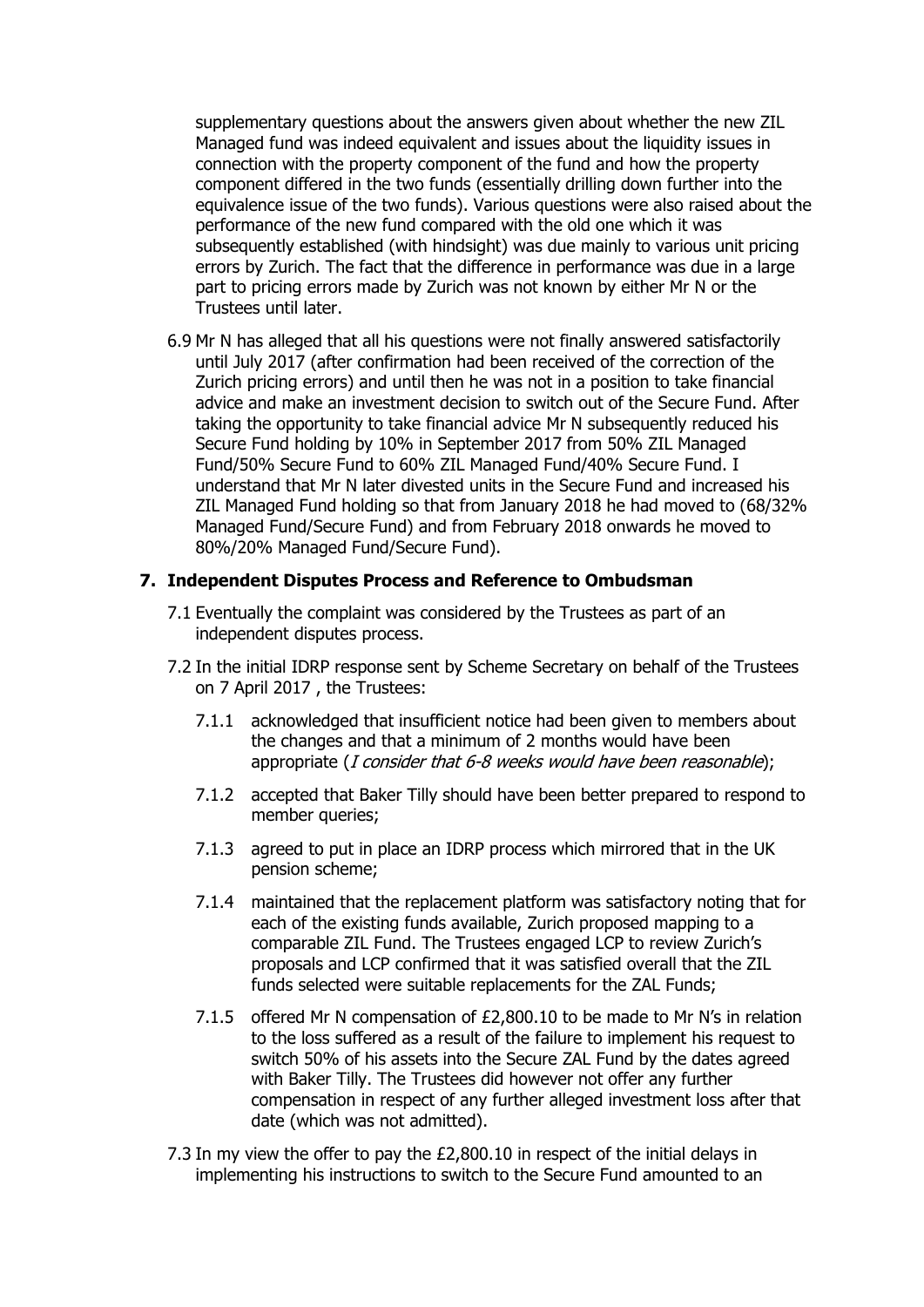supplementary questions about the answers given about whether the new ZIL Managed fund was indeed equivalent and issues about the liquidity issues in connection with the property component of the fund and how the property component differed in the two funds (essentially drilling down further into the equivalence issue of the two funds). Various questions were also raised about the performance of the new fund compared with the old one which it was subsequently established (with hindsight) was due mainly to various unit pricing errors by Zurich. The fact that the difference in performance was due in a large part to pricing errors made by Zurich was not known by either Mr N or the Trustees until later.

6.9 Mr N has alleged that all his questions were not finally answered satisfactorily until July 2017 (after confirmation had been received of the correction of the Zurich pricing errors) and until then he was not in a position to take financial advice and make an investment decision to switch out of the Secure Fund. After taking the opportunity to take financial advice Mr N subsequently reduced his Secure Fund holding by 10% in September 2017 from 50% ZIL Managed Fund/50% Secure Fund to 60% ZIL Managed Fund/40% Secure Fund. I understand that Mr N later divested units in the Secure Fund and increased his ZIL Managed Fund holding so that from January 2018 he had moved to (68/32% Managed Fund/Secure Fund) and from February 2018 onwards he moved to 80%/20% Managed Fund/Secure Fund).

# **7. Independent Disputes Process and Reference to Ombudsman**

- 7.1 Eventually the complaint was considered by the Trustees as part of an independent disputes process.
- 7.2 In the initial IDRP response sent by Scheme Secretary on behalf of the Trustees on 7 April 2017 , the Trustees:
	- 7.1.1 acknowledged that insufficient notice had been given to members about the changes and that a minimum of 2 months would have been appropriate (*I consider that 6-8 weeks would have been reasonable*);
	- 7.1.2 accepted that Baker Tilly should have been better prepared to respond to member queries;
	- 7.1.3 agreed to put in place an IDRP process which mirrored that in the UK pension scheme;
	- 7.1.4 maintained that the replacement platform was satisfactory noting that for each of the existing funds available, Zurich proposed mapping to a comparable ZIL Fund. The Trustees engaged LCP to review Zurich's proposals and LCP confirmed that it was satisfied overall that the ZIL funds selected were suitable replacements for the ZAL Funds;
	- 7.1.5 offered Mr N compensation of £2,800.10 to be made to Mr N's in relation to the loss suffered as a result of the failure to implement his request to switch 50% of his assets into the Secure ZAL Fund by the dates agreed with Baker Tilly. The Trustees did however not offer any further compensation in respect of any further alleged investment loss after that date (which was not admitted).
- 7.3 In my view the offer to pay the £2,800.10 in respect of the initial delays in implementing his instructions to switch to the Secure Fund amounted to an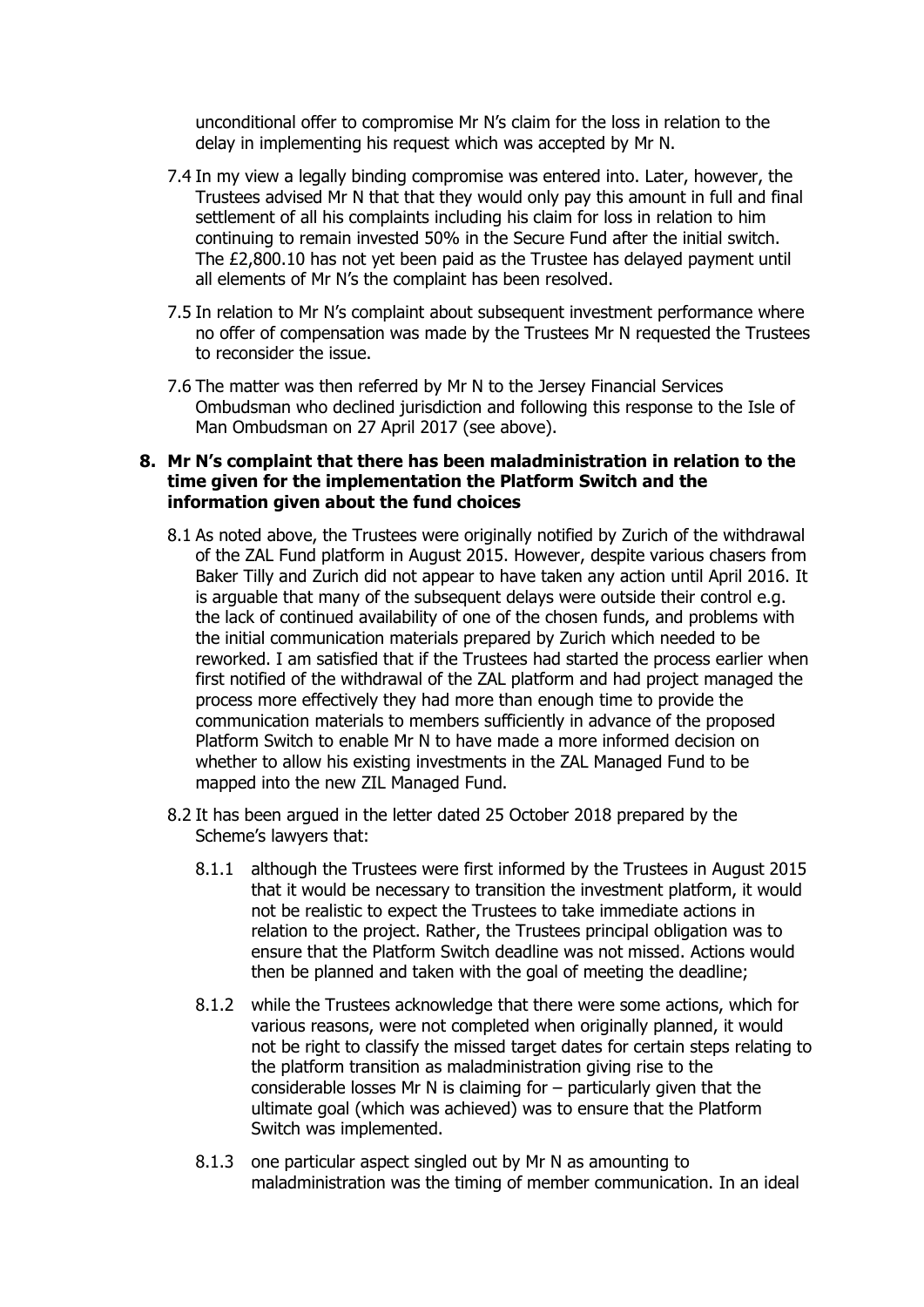unconditional offer to compromise Mr N's claim for the loss in relation to the delay in implementing his request which was accepted by Mr N.

- 7.4 In my view a legally binding compromise was entered into. Later, however, the Trustees advised Mr N that that they would only pay this amount in full and final settlement of all his complaints including his claim for loss in relation to him continuing to remain invested 50% in the Secure Fund after the initial switch. The £2,800.10 has not yet been paid as the Trustee has delayed payment until all elements of Mr N's the complaint has been resolved.
- 7.5 In relation to Mr N's complaint about subsequent investment performance where no offer of compensation was made by the Trustees Mr N requested the Trustees to reconsider the issue.
- 7.6 The matter was then referred by Mr N to the Jersey Financial Services Ombudsman who declined jurisdiction and following this response to the Isle of Man Ombudsman on 27 April 2017 (see above).

### **8. Mr N's complaint that there has been maladministration in relation to the time given for the implementation the Platform Switch and the information given about the fund choices**

- 8.1 As noted above, the Trustees were originally notified by Zurich of the withdrawal of the ZAL Fund platform in August 2015. However, despite various chasers from Baker Tilly and Zurich did not appear to have taken any action until April 2016. It is arguable that many of the subsequent delays were outside their control e.g. the lack of continued availability of one of the chosen funds, and problems with the initial communication materials prepared by Zurich which needed to be reworked. I am satisfied that if the Trustees had started the process earlier when first notified of the withdrawal of the ZAL platform and had project managed the process more effectively they had more than enough time to provide the communication materials to members sufficiently in advance of the proposed Platform Switch to enable Mr N to have made a more informed decision on whether to allow his existing investments in the ZAL Managed Fund to be mapped into the new ZIL Managed Fund.
- 8.2 It has been argued in the letter dated 25 October 2018 prepared by the Scheme's lawyers that:
	- 8.1.1 although the Trustees were first informed by the Trustees in August 2015 that it would be necessary to transition the investment platform, it would not be realistic to expect the Trustees to take immediate actions in relation to the project. Rather, the Trustees principal obligation was to ensure that the Platform Switch deadline was not missed. Actions would then be planned and taken with the goal of meeting the deadline;
	- 8.1.2 while the Trustees acknowledge that there were some actions, which for various reasons, were not completed when originally planned, it would not be right to classify the missed target dates for certain steps relating to the platform transition as maladministration giving rise to the considerable losses Mr N is claiming for – particularly given that the ultimate goal (which was achieved) was to ensure that the Platform Switch was implemented.
	- 8.1.3 one particular aspect singled out by Mr N as amounting to maladministration was the timing of member communication. In an ideal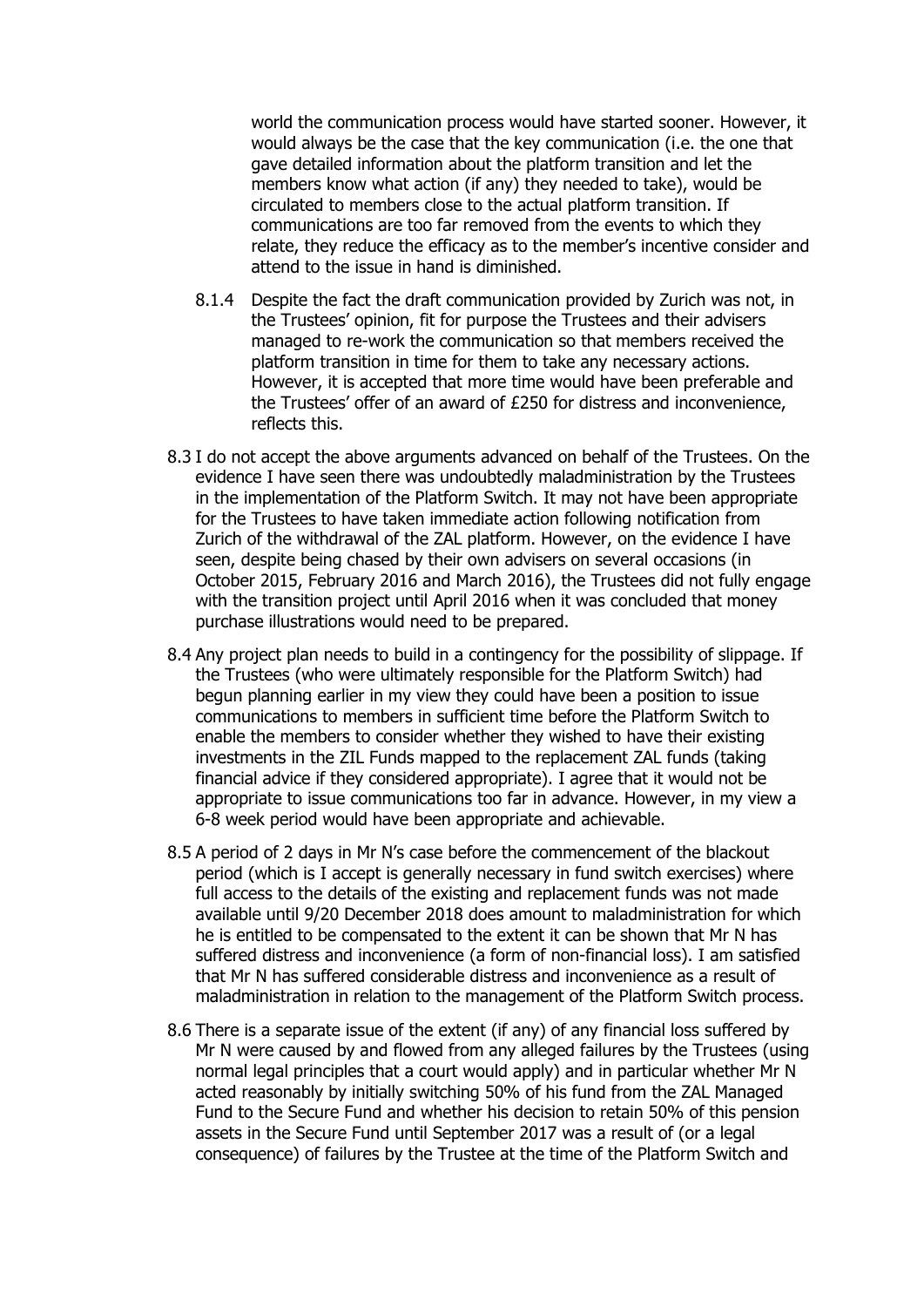world the communication process would have started sooner. However, it would always be the case that the key communication (i.e. the one that gave detailed information about the platform transition and let the members know what action (if any) they needed to take), would be circulated to members close to the actual platform transition. If communications are too far removed from the events to which they relate, they reduce the efficacy as to the member's incentive consider and attend to the issue in hand is diminished.

- 8.1.4 Despite the fact the draft communication provided by Zurich was not, in the Trustees' opinion, fit for purpose the Trustees and their advisers managed to re-work the communication so that members received the platform transition in time for them to take any necessary actions. However, it is accepted that more time would have been preferable and the Trustees' offer of an award of £250 for distress and inconvenience, reflects this.
- 8.3 I do not accept the above arguments advanced on behalf of the Trustees. On the evidence I have seen there was undoubtedly maladministration by the Trustees in the implementation of the Platform Switch. It may not have been appropriate for the Trustees to have taken immediate action following notification from Zurich of the withdrawal of the ZAL platform. However, on the evidence I have seen, despite being chased by their own advisers on several occasions (in October 2015, February 2016 and March 2016), the Trustees did not fully engage with the transition project until April 2016 when it was concluded that money purchase illustrations would need to be prepared.
- 8.4 Any project plan needs to build in a contingency for the possibility of slippage. If the Trustees (who were ultimately responsible for the Platform Switch) had begun planning earlier in my view they could have been a position to issue communications to members in sufficient time before the Platform Switch to enable the members to consider whether they wished to have their existing investments in the ZIL Funds mapped to the replacement ZAL funds (taking financial advice if they considered appropriate). I agree that it would not be appropriate to issue communications too far in advance. However, in my view a 6-8 week period would have been appropriate and achievable.
- 8.5 A period of 2 days in Mr N's case before the commencement of the blackout period (which is I accept is generally necessary in fund switch exercises) where full access to the details of the existing and replacement funds was not made available until 9/20 December 2018 does amount to maladministration for which he is entitled to be compensated to the extent it can be shown that Mr N has suffered distress and inconvenience (a form of non-financial loss). I am satisfied that Mr N has suffered considerable distress and inconvenience as a result of maladministration in relation to the management of the Platform Switch process.
- 8.6 There is a separate issue of the extent (if any) of any financial loss suffered by Mr N were caused by and flowed from any alleged failures by the Trustees (using normal legal principles that a court would apply) and in particular whether Mr N acted reasonably by initially switching 50% of his fund from the ZAL Managed Fund to the Secure Fund and whether his decision to retain 50% of this pension assets in the Secure Fund until September 2017 was a result of (or a legal consequence) of failures by the Trustee at the time of the Platform Switch and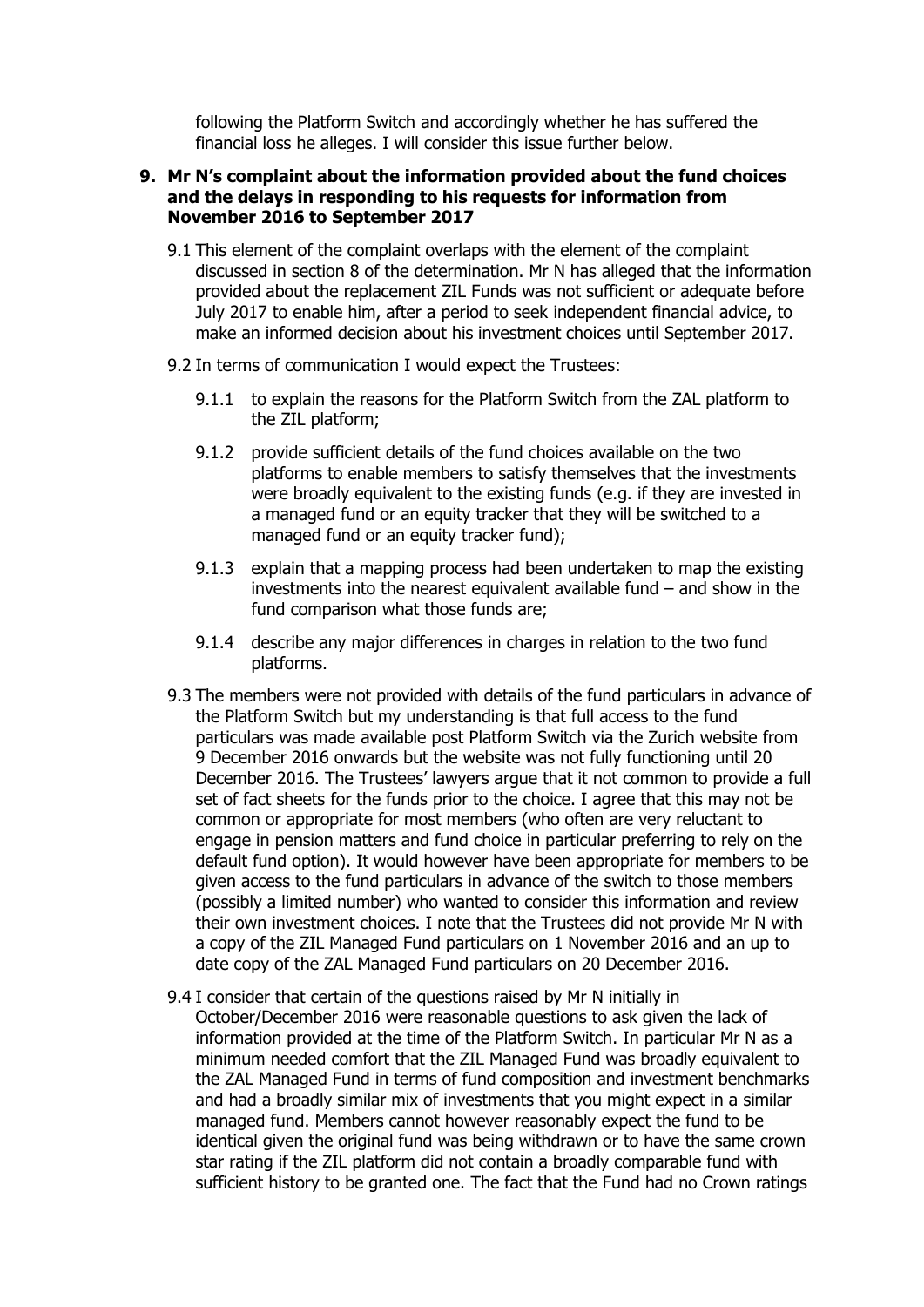following the Platform Switch and accordingly whether he has suffered the financial loss he alleges. I will consider this issue further below.

#### **9. Mr N's complaint about the information provided about the fund choices and the delays in responding to his requests for information from November 2016 to September 2017**

- 9.1 This element of the complaint overlaps with the element of the complaint discussed in section 8 of the determination. Mr N has alleged that the information provided about the replacement ZIL Funds was not sufficient or adequate before July 2017 to enable him, after a period to seek independent financial advice, to make an informed decision about his investment choices until September 2017.
- 9.2 In terms of communication I would expect the Trustees:
	- 9.1.1 to explain the reasons for the Platform Switch from the ZAL platform to the ZIL platform;
	- 9.1.2 provide sufficient details of the fund choices available on the two platforms to enable members to satisfy themselves that the investments were broadly equivalent to the existing funds (e.g. if they are invested in a managed fund or an equity tracker that they will be switched to a managed fund or an equity tracker fund);
	- 9.1.3 explain that a mapping process had been undertaken to map the existing investments into the nearest equivalent available fund – and show in the fund comparison what those funds are;
	- 9.1.4 describe any major differences in charges in relation to the two fund platforms.
- 9.3 The members were not provided with details of the fund particulars in advance of the Platform Switch but my understanding is that full access to the fund particulars was made available post Platform Switch via the Zurich website from 9 December 2016 onwards but the website was not fully functioning until 20 December 2016. The Trustees' lawyers argue that it not common to provide a full set of fact sheets for the funds prior to the choice. I agree that this may not be common or appropriate for most members (who often are very reluctant to engage in pension matters and fund choice in particular preferring to rely on the default fund option). It would however have been appropriate for members to be given access to the fund particulars in advance of the switch to those members (possibly a limited number) who wanted to consider this information and review their own investment choices. I note that the Trustees did not provide Mr N with a copy of the ZIL Managed Fund particulars on 1 November 2016 and an up to date copy of the ZAL Managed Fund particulars on 20 December 2016.
- 9.4 I consider that certain of the questions raised by Mr N initially in October/December 2016 were reasonable questions to ask given the lack of information provided at the time of the Platform Switch. In particular Mr N as a minimum needed comfort that the ZIL Managed Fund was broadly equivalent to the ZAL Managed Fund in terms of fund composition and investment benchmarks and had a broadly similar mix of investments that you might expect in a similar managed fund. Members cannot however reasonably expect the fund to be identical given the original fund was being withdrawn or to have the same crown star rating if the ZIL platform did not contain a broadly comparable fund with sufficient history to be granted one. The fact that the Fund had no Crown ratings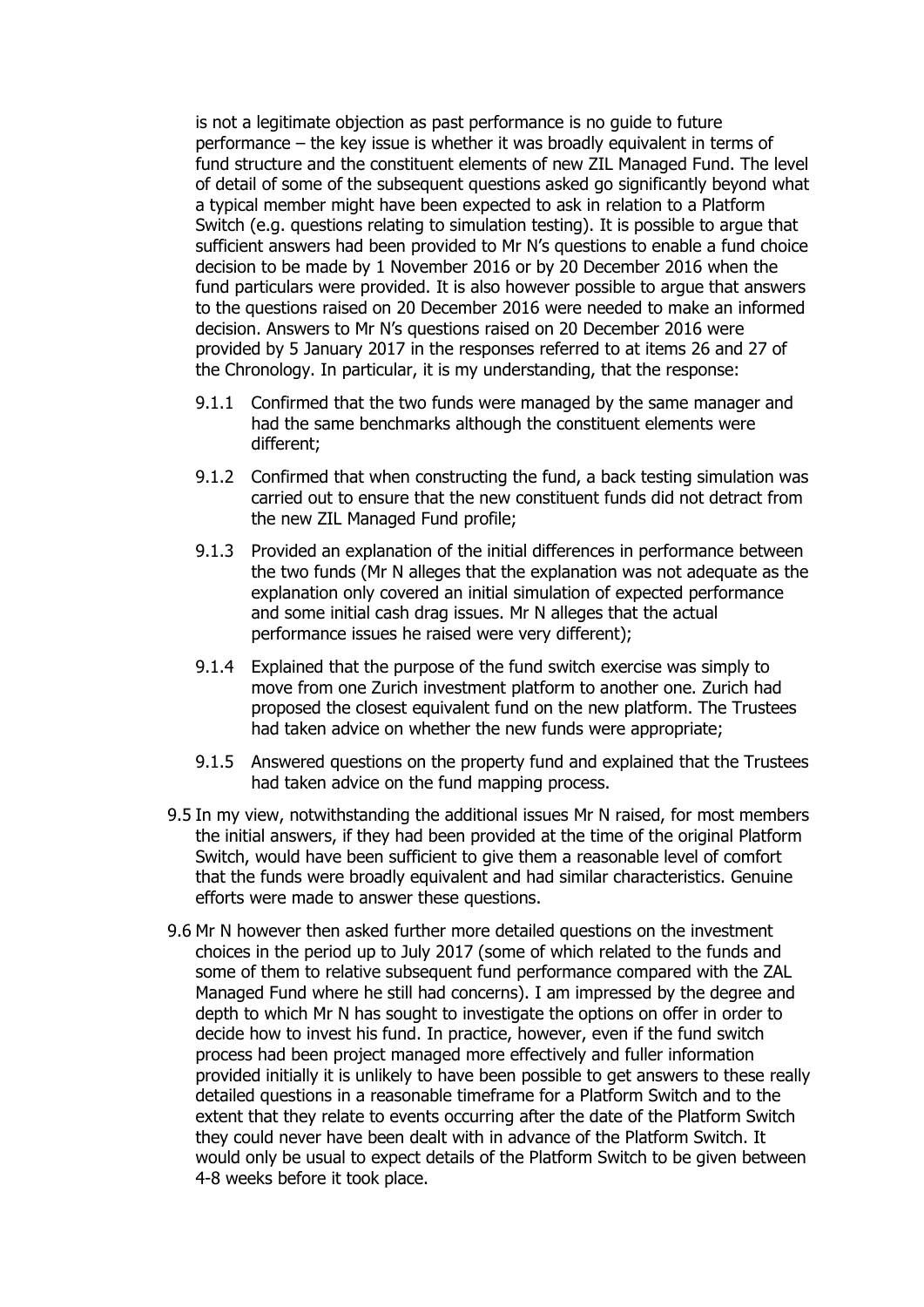is not a legitimate objection as past performance is no guide to future performance – the key issue is whether it was broadly equivalent in terms of fund structure and the constituent elements of new ZIL Managed Fund. The level of detail of some of the subsequent questions asked go significantly beyond what a typical member might have been expected to ask in relation to a Platform Switch (e.g. questions relating to simulation testing). It is possible to argue that sufficient answers had been provided to Mr N's questions to enable a fund choice decision to be made by 1 November 2016 or by 20 December 2016 when the fund particulars were provided. It is also however possible to argue that answers to the questions raised on 20 December 2016 were needed to make an informed decision. Answers to Mr N's questions raised on 20 December 2016 were provided by 5 January 2017 in the responses referred to at items 26 and 27 of the Chronology. In particular, it is my understanding, that the response:

- 9.1.1 Confirmed that the two funds were managed by the same manager and had the same benchmarks although the constituent elements were different;
- 9.1.2 Confirmed that when constructing the fund, a back testing simulation was carried out to ensure that the new constituent funds did not detract from the new ZIL Managed Fund profile;
- 9.1.3 Provided an explanation of the initial differences in performance between the two funds (Mr N alleges that the explanation was not adequate as the explanation only covered an initial simulation of expected performance and some initial cash drag issues. Mr N alleges that the actual performance issues he raised were very different);
- 9.1.4 Explained that the purpose of the fund switch exercise was simply to move from one Zurich investment platform to another one. Zurich had proposed the closest equivalent fund on the new platform. The Trustees had taken advice on whether the new funds were appropriate;
- 9.1.5 Answered questions on the property fund and explained that the Trustees had taken advice on the fund mapping process.
- 9.5 In my view, notwithstanding the additional issues Mr N raised, for most members the initial answers, if they had been provided at the time of the original Platform Switch, would have been sufficient to give them a reasonable level of comfort that the funds were broadly equivalent and had similar characteristics. Genuine efforts were made to answer these questions.
- 9.6 Mr N however then asked further more detailed questions on the investment choices in the period up to July 2017 (some of which related to the funds and some of them to relative subsequent fund performance compared with the ZAL Managed Fund where he still had concerns). I am impressed by the degree and depth to which Mr N has sought to investigate the options on offer in order to decide how to invest his fund. In practice, however, even if the fund switch process had been project managed more effectively and fuller information provided initially it is unlikely to have been possible to get answers to these really detailed questions in a reasonable timeframe for a Platform Switch and to the extent that they relate to events occurring after the date of the Platform Switch they could never have been dealt with in advance of the Platform Switch. It would only be usual to expect details of the Platform Switch to be given between 4-8 weeks before it took place.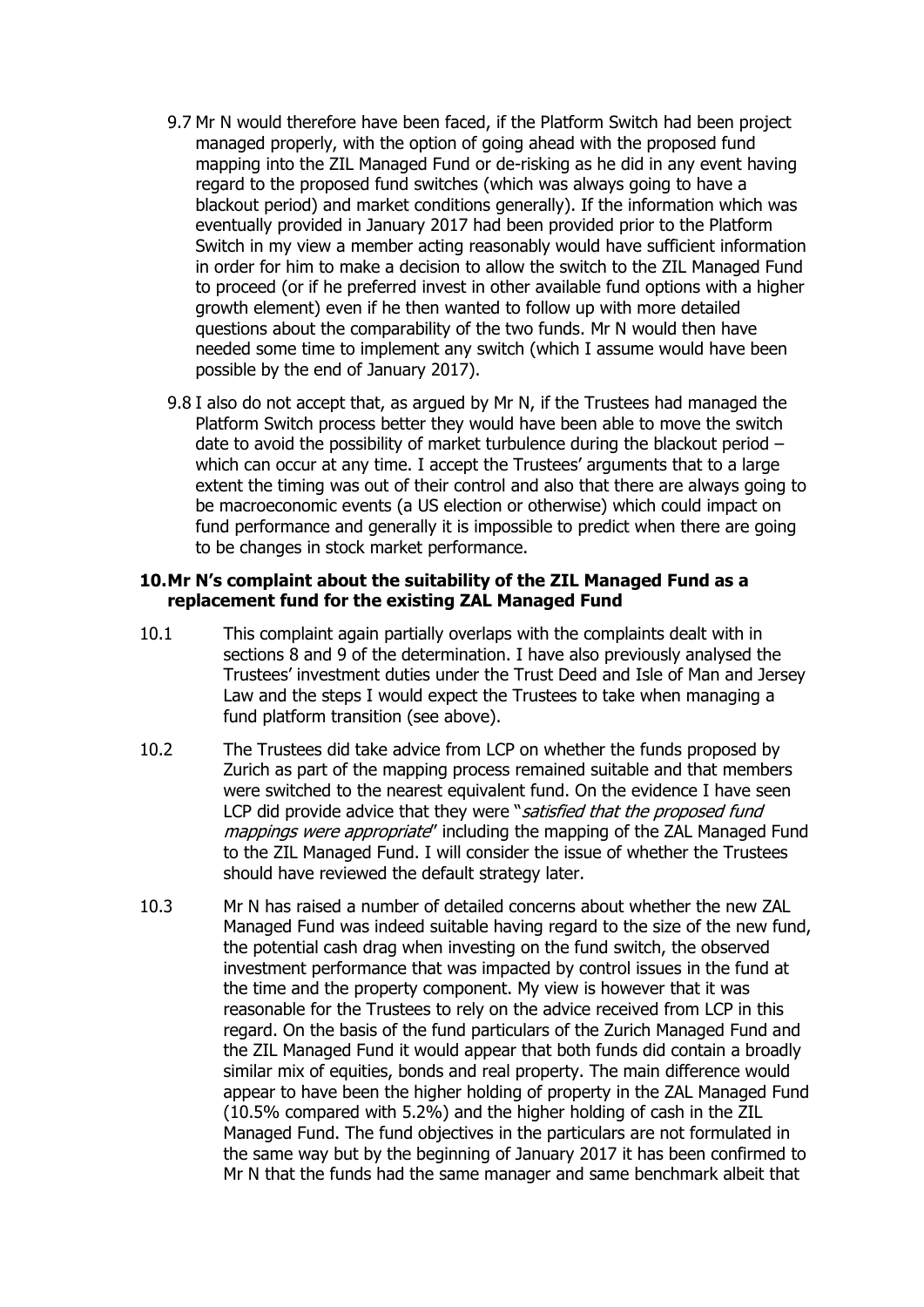- 9.7 Mr N would therefore have been faced, if the Platform Switch had been project managed properly, with the option of going ahead with the proposed fund mapping into the ZIL Managed Fund or de-risking as he did in any event having regard to the proposed fund switches (which was always going to have a blackout period) and market conditions generally). If the information which was eventually provided in January 2017 had been provided prior to the Platform Switch in my view a member acting reasonably would have sufficient information in order for him to make a decision to allow the switch to the ZIL Managed Fund to proceed (or if he preferred invest in other available fund options with a higher growth element) even if he then wanted to follow up with more detailed questions about the comparability of the two funds. Mr N would then have needed some time to implement any switch (which I assume would have been possible by the end of January 2017).
- 9.8 I also do not accept that, as argued by Mr N, if the Trustees had managed the Platform Switch process better they would have been able to move the switch date to avoid the possibility of market turbulence during the blackout period – which can occur at any time. I accept the Trustees' arguments that to a large extent the timing was out of their control and also that there are always going to be macroeconomic events (a US election or otherwise) which could impact on fund performance and generally it is impossible to predict when there are going to be changes in stock market performance.

#### **10.Mr N's complaint about the suitability of the ZIL Managed Fund as a replacement fund for the existing ZAL Managed Fund**

- 10.1 This complaint again partially overlaps with the complaints dealt with in sections 8 and 9 of the determination. I have also previously analysed the Trustees' investment duties under the Trust Deed and Isle of Man and Jersey Law and the steps I would expect the Trustees to take when managing a fund platform transition (see above).
- 10.2 The Trustees did take advice from LCP on whether the funds proposed by Zurich as part of the mapping process remained suitable and that members were switched to the nearest equivalent fund. On the evidence I have seen LCP did provide advice that they were "satisfied that the proposed fund mappings were appropriate" including the mapping of the ZAL Managed Fund to the ZIL Managed Fund. I will consider the issue of whether the Trustees should have reviewed the default strategy later.
- 10.3 Mr N has raised a number of detailed concerns about whether the new ZAL Managed Fund was indeed suitable having regard to the size of the new fund, the potential cash drag when investing on the fund switch, the observed investment performance that was impacted by control issues in the fund at the time and the property component. My view is however that it was reasonable for the Trustees to rely on the advice received from LCP in this regard. On the basis of the fund particulars of the Zurich Managed Fund and the ZIL Managed Fund it would appear that both funds did contain a broadly similar mix of equities, bonds and real property. The main difference would appear to have been the higher holding of property in the ZAL Managed Fund (10.5% compared with 5.2%) and the higher holding of cash in the ZIL Managed Fund. The fund objectives in the particulars are not formulated in the same way but by the beginning of January 2017 it has been confirmed to Mr N that the funds had the same manager and same benchmark albeit that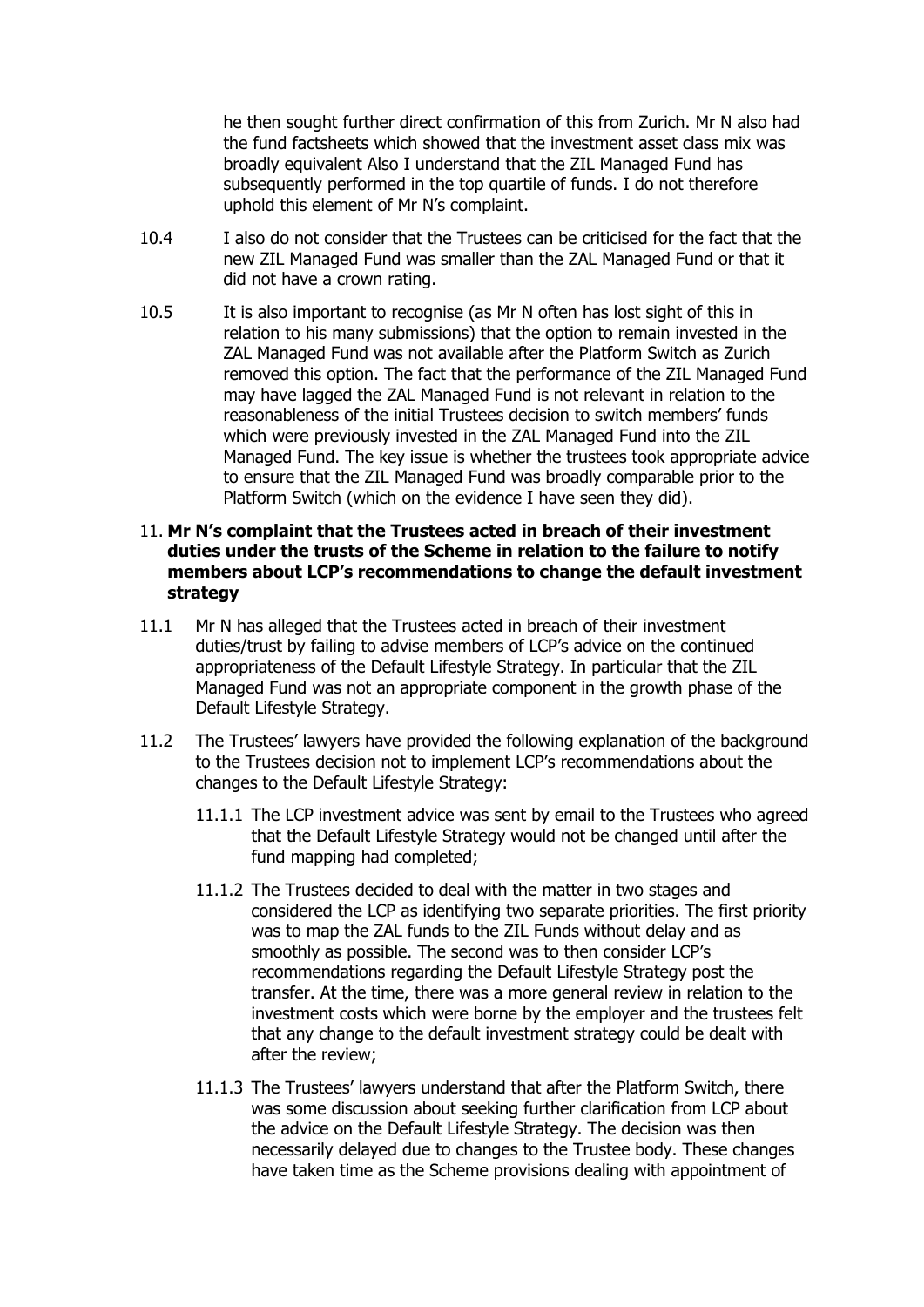he then sought further direct confirmation of this from Zurich. Mr N also had the fund factsheets which showed that the investment asset class mix was broadly equivalent Also I understand that the ZIL Managed Fund has subsequently performed in the top quartile of funds. I do not therefore uphold this element of Mr N's complaint.

- 10.4 I also do not consider that the Trustees can be criticised for the fact that the new ZIL Managed Fund was smaller than the ZAL Managed Fund or that it did not have a crown rating.
- 10.5 It is also important to recognise (as Mr N often has lost sight of this in relation to his many submissions) that the option to remain invested in the ZAL Managed Fund was not available after the Platform Switch as Zurich removed this option. The fact that the performance of the ZIL Managed Fund may have lagged the ZAL Managed Fund is not relevant in relation to the reasonableness of the initial Trustees decision to switch members' funds which were previously invested in the ZAL Managed Fund into the ZIL Managed Fund. The key issue is whether the trustees took appropriate advice to ensure that the ZIL Managed Fund was broadly comparable prior to the Platform Switch (which on the evidence I have seen they did).

### 11. **Mr N's complaint that the Trustees acted in breach of their investment duties under the trusts of the Scheme in relation to the failure to notify members about LCP's recommendations to change the default investment strategy**

- 11.1 Mr N has alleged that the Trustees acted in breach of their investment duties/trust by failing to advise members of LCP's advice on the continued appropriateness of the Default Lifestyle Strategy. In particular that the ZIL Managed Fund was not an appropriate component in the growth phase of the Default Lifestyle Strategy.
- 11.2 The Trustees' lawyers have provided the following explanation of the background to the Trustees decision not to implement LCP's recommendations about the changes to the Default Lifestyle Strategy:
	- 11.1.1 The LCP investment advice was sent by email to the Trustees who agreed that the Default Lifestyle Strategy would not be changed until after the fund mapping had completed;
	- 11.1.2 The Trustees decided to deal with the matter in two stages and considered the LCP as identifying two separate priorities. The first priority was to map the ZAL funds to the ZIL Funds without delay and as smoothly as possible. The second was to then consider LCP's recommendations regarding the Default Lifestyle Strategy post the transfer. At the time, there was a more general review in relation to the investment costs which were borne by the employer and the trustees felt that any change to the default investment strategy could be dealt with after the review;
	- 11.1.3 The Trustees' lawyers understand that after the Platform Switch, there was some discussion about seeking further clarification from LCP about the advice on the Default Lifestyle Strategy. The decision was then necessarily delayed due to changes to the Trustee body. These changes have taken time as the Scheme provisions dealing with appointment of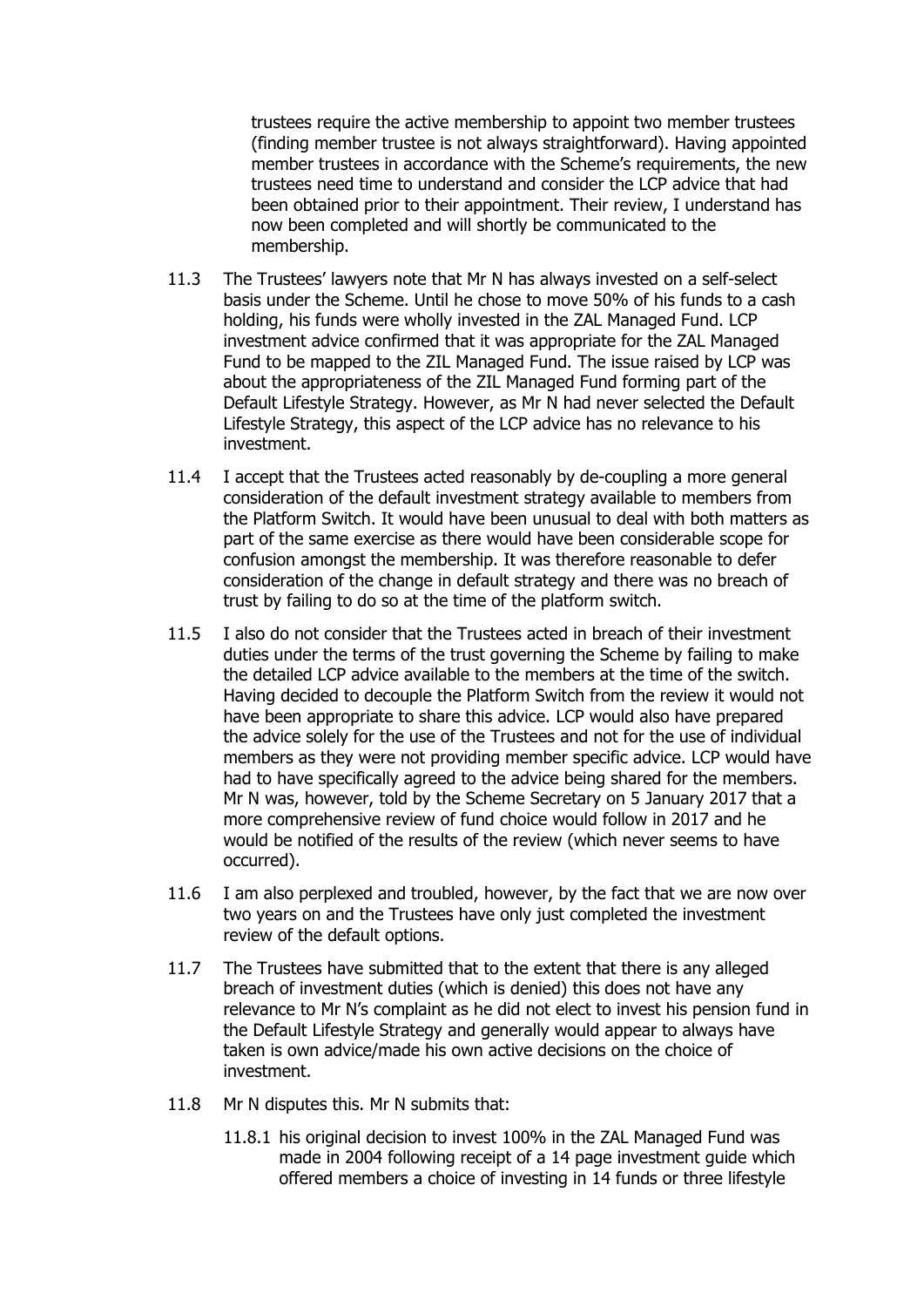trustees require the active membership to appoint two member trustees (finding member trustee is not always straightforward). Having appointed member trustees in accordance with the Scheme's requirements, the new trustees need time to understand and consider the LCP advice that had been obtained prior to their appointment. Their review, I understand has now been completed and will shortly be communicated to the membership.

- 11.3 The Trustees' lawyers note that Mr N has always invested on a self-select basis under the Scheme. Until he chose to move 50% of his funds to a cash holding, his funds were wholly invested in the ZAL Managed Fund. LCP investment advice confirmed that it was appropriate for the ZAL Managed Fund to be mapped to the ZIL Managed Fund. The issue raised by LCP was about the appropriateness of the ZIL Managed Fund forming part of the Default Lifestyle Strategy. However, as Mr N had never selected the Default Lifestyle Strategy, this aspect of the LCP advice has no relevance to his investment.
- 11.4 I accept that the Trustees acted reasonably by de-coupling a more general consideration of the default investment strategy available to members from the Platform Switch. It would have been unusual to deal with both matters as part of the same exercise as there would have been considerable scope for confusion amongst the membership. It was therefore reasonable to defer consideration of the change in default strategy and there was no breach of trust by failing to do so at the time of the platform switch.
- 11.5 I also do not consider that the Trustees acted in breach of their investment duties under the terms of the trust governing the Scheme by failing to make the detailed LCP advice available to the members at the time of the switch. Having decided to decouple the Platform Switch from the review it would not have been appropriate to share this advice. LCP would also have prepared the advice solely for the use of the Trustees and not for the use of individual members as they were not providing member specific advice. LCP would have had to have specifically agreed to the advice being shared for the members. Mr N was, however, told by the Scheme Secretary on 5 January 2017 that a more comprehensive review of fund choice would follow in 2017 and he would be notified of the results of the review (which never seems to have occurred).
- 11.6 I am also perplexed and troubled, however, by the fact that we are now over two years on and the Trustees have only just completed the investment review of the default options.
- 11.7 The Trustees have submitted that to the extent that there is any alleged breach of investment duties (which is denied) this does not have any relevance to Mr N's complaint as he did not elect to invest his pension fund in the Default Lifestyle Strategy and generally would appear to always have taken is own advice/made his own active decisions on the choice of investment.
- 11.8 Mr N disputes this. Mr N submits that:
	- 11.8.1 his original decision to invest 100% in the ZAL Managed Fund was made in 2004 following receipt of a 14 page investment guide which offered members a choice of investing in 14 funds or three lifestyle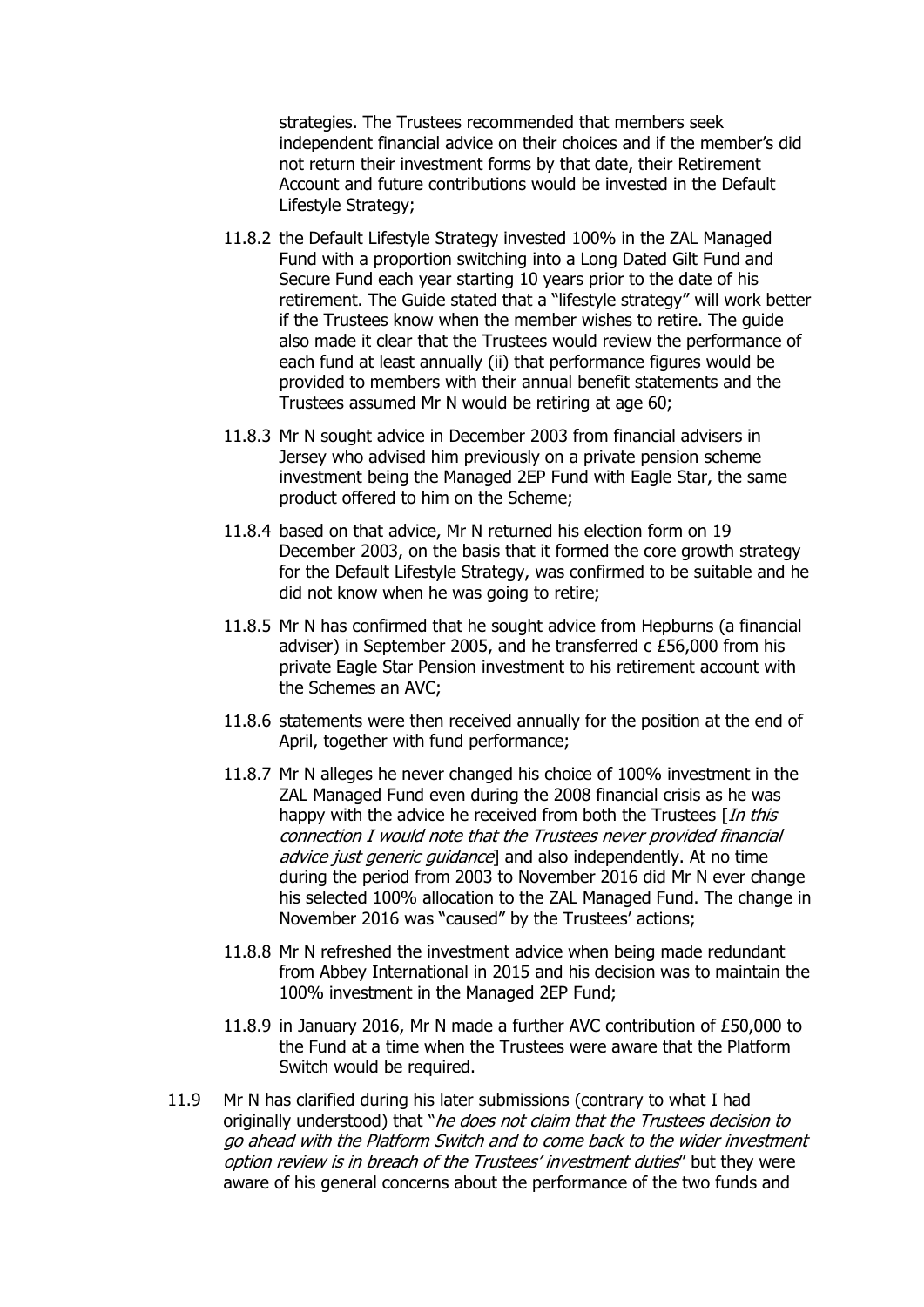strategies. The Trustees recommended that members seek independent financial advice on their choices and if the member's did not return their investment forms by that date, their Retirement Account and future contributions would be invested in the Default Lifestyle Strategy;

- 11.8.2 the Default Lifestyle Strategy invested 100% in the ZAL Managed Fund with a proportion switching into a Long Dated Gilt Fund and Secure Fund each year starting 10 years prior to the date of his retirement. The Guide stated that a "lifestyle strategy" will work better if the Trustees know when the member wishes to retire. The guide also made it clear that the Trustees would review the performance of each fund at least annually (ii) that performance figures would be provided to members with their annual benefit statements and the Trustees assumed Mr N would be retiring at age 60;
- 11.8.3 Mr N sought advice in December 2003 from financial advisers in Jersey who advised him previously on a private pension scheme investment being the Managed 2EP Fund with Eagle Star, the same product offered to him on the Scheme;
- 11.8.4 based on that advice, Mr N returned his election form on 19 December 2003, on the basis that it formed the core growth strategy for the Default Lifestyle Strategy, was confirmed to be suitable and he did not know when he was going to retire;
- 11.8.5 Mr N has confirmed that he sought advice from Hepburns (a financial adviser) in September 2005, and he transferred c £56,000 from his private Eagle Star Pension investment to his retirement account with the Schemes an AVC;
- 11.8.6 statements were then received annually for the position at the end of April, together with fund performance;
- 11.8.7 Mr N alleges he never changed his choice of 100% investment in the ZAL Managed Fund even during the 2008 financial crisis as he was happy with the advice he received from both the Trustees  $[In this]$ connection I would note that the Trustees never provided financial advice just generic quidance] and also independently. At no time during the period from 2003 to November 2016 did Mr N ever change his selected 100% allocation to the ZAL Managed Fund. The change in November 2016 was "caused" by the Trustees' actions;
- 11.8.8 Mr N refreshed the investment advice when being made redundant from Abbey International in 2015 and his decision was to maintain the 100% investment in the Managed 2EP Fund;
- 11.8.9 in January 2016, Mr N made a further AVC contribution of £50,000 to the Fund at a time when the Trustees were aware that the Platform Switch would be required.
- 11.9 Mr N has clarified during his later submissions (contrary to what I had originally understood) that "*he does not claim that the Trustees decision to* go ahead with the Platform Switch and to come back to the wider investment option review is in breach of the Trustees' investment duties" but they were aware of his general concerns about the performance of the two funds and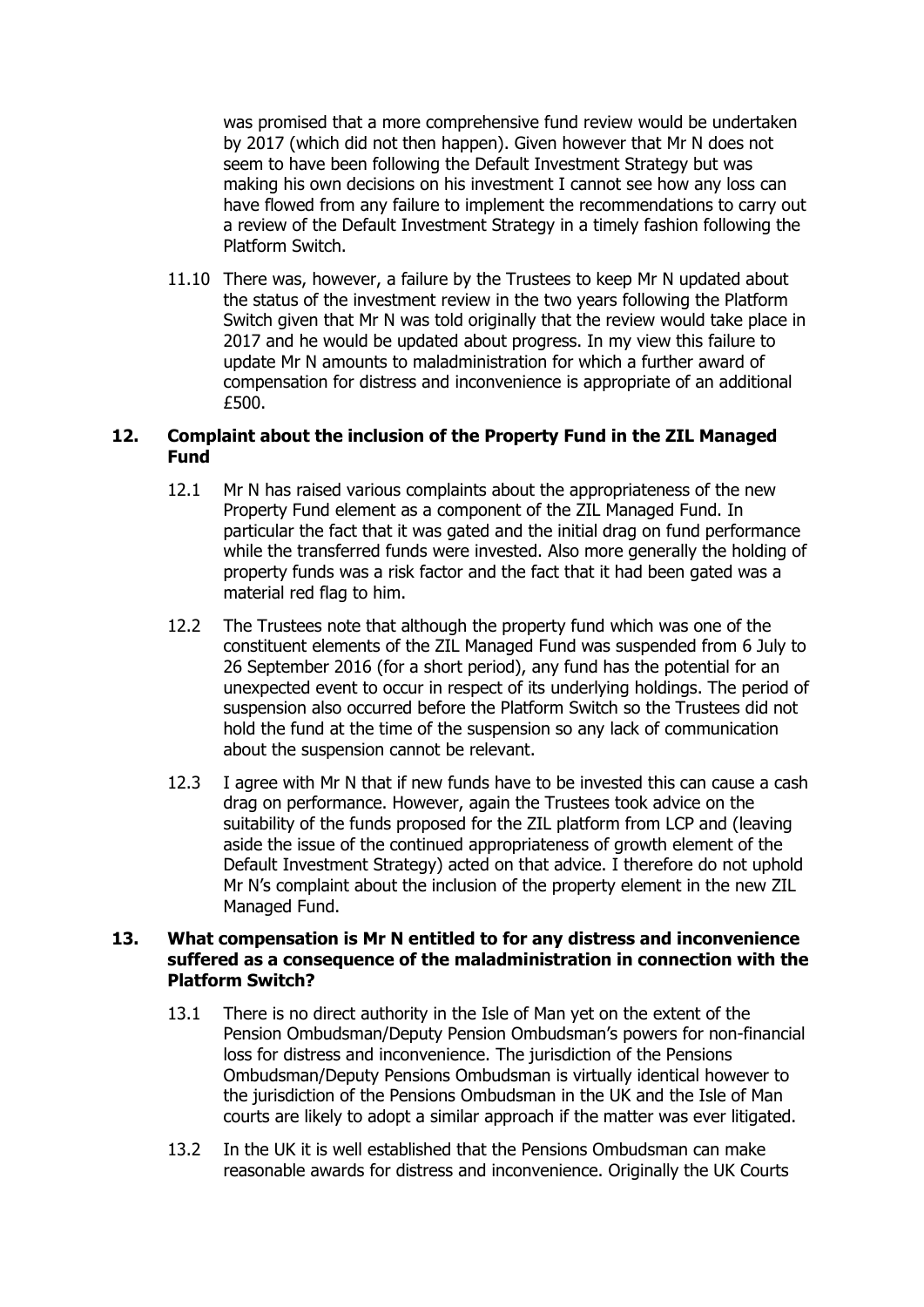was promised that a more comprehensive fund review would be undertaken by 2017 (which did not then happen). Given however that Mr N does not seem to have been following the Default Investment Strategy but was making his own decisions on his investment I cannot see how any loss can have flowed from any failure to implement the recommendations to carry out a review of the Default Investment Strategy in a timely fashion following the Platform Switch.

11.10 There was, however, a failure by the Trustees to keep Mr N updated about the status of the investment review in the two years following the Platform Switch given that Mr N was told originally that the review would take place in 2017 and he would be updated about progress. In my view this failure to update Mr N amounts to maladministration for which a further award of compensation for distress and inconvenience is appropriate of an additional £500.

# **12. Complaint about the inclusion of the Property Fund in the ZIL Managed Fund**

- 12.1 Mr N has raised various complaints about the appropriateness of the new Property Fund element as a component of the ZIL Managed Fund. In particular the fact that it was gated and the initial drag on fund performance while the transferred funds were invested. Also more generally the holding of property funds was a risk factor and the fact that it had been gated was a material red flag to him.
- 12.2 The Trustees note that although the property fund which was one of the constituent elements of the ZIL Managed Fund was suspended from 6 July to 26 September 2016 (for a short period), any fund has the potential for an unexpected event to occur in respect of its underlying holdings. The period of suspension also occurred before the Platform Switch so the Trustees did not hold the fund at the time of the suspension so any lack of communication about the suspension cannot be relevant.
- 12.3 I agree with Mr N that if new funds have to be invested this can cause a cash drag on performance. However, again the Trustees took advice on the suitability of the funds proposed for the ZIL platform from LCP and (leaving aside the issue of the continued appropriateness of growth element of the Default Investment Strategy) acted on that advice. I therefore do not uphold Mr N's complaint about the inclusion of the property element in the new ZIL Managed Fund.

### **13. What compensation is Mr N entitled to for any distress and inconvenience suffered as a consequence of the maladministration in connection with the Platform Switch?**

- 13.1 There is no direct authority in the Isle of Man yet on the extent of the Pension Ombudsman/Deputy Pension Ombudsman's powers for non-financial loss for distress and inconvenience. The jurisdiction of the Pensions Ombudsman/Deputy Pensions Ombudsman is virtually identical however to the jurisdiction of the Pensions Ombudsman in the UK and the Isle of Man courts are likely to adopt a similar approach if the matter was ever litigated.
- 13.2 In the UK it is well established that the Pensions Ombudsman can make reasonable awards for distress and inconvenience. Originally the UK Courts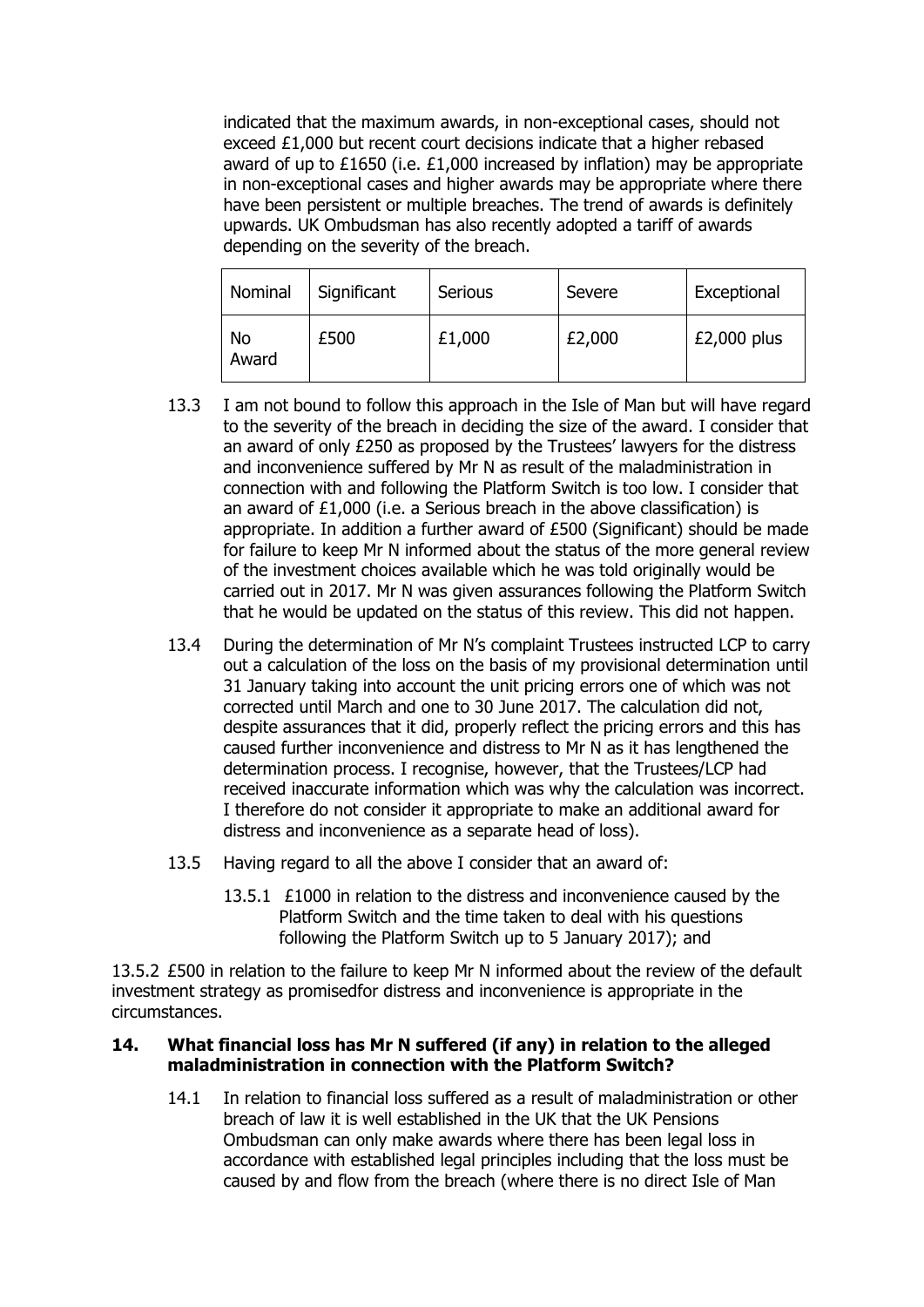indicated that the maximum awards, in non-exceptional cases, should not exceed £1,000 but recent court decisions indicate that a higher rebased award of up to £1650 (i.e. £1,000 increased by inflation) may be appropriate in non-exceptional cases and higher awards may be appropriate where there have been persistent or multiple breaches. The trend of awards is definitely upwards. UK Ombudsman has also recently adopted a tariff of awards depending on the severity of the breach.

| Nominal     | Significant | Serious | Severe | Exceptional |
|-------------|-------------|---------|--------|-------------|
| No<br>Award | £500        | £1,000  | £2,000 | £2,000 plus |

- 13.3 I am not bound to follow this approach in the Isle of Man but will have regard to the severity of the breach in deciding the size of the award. I consider that an award of only £250 as proposed by the Trustees' lawyers for the distress and inconvenience suffered by Mr N as result of the maladministration in connection with and following the Platform Switch is too low. I consider that an award of £1,000 (i.e. a Serious breach in the above classification) is appropriate. In addition a further award of £500 (Significant) should be made for failure to keep Mr N informed about the status of the more general review of the investment choices available which he was told originally would be carried out in 2017. Mr N was given assurances following the Platform Switch that he would be updated on the status of this review. This did not happen.
- 13.4 During the determination of Mr N's complaint Trustees instructed LCP to carry out a calculation of the loss on the basis of my provisional determination until 31 January taking into account the unit pricing errors one of which was not corrected until March and one to 30 June 2017. The calculation did not, despite assurances that it did, properly reflect the pricing errors and this has caused further inconvenience and distress to Mr N as it has lengthened the determination process. I recognise, however, that the Trustees/LCP had received inaccurate information which was why the calculation was incorrect. I therefore do not consider it appropriate to make an additional award for distress and inconvenience as a separate head of loss).
- 13.5 Having regard to all the above I consider that an award of:
	- 13.5.1 £1000 in relation to the distress and inconvenience caused by the Platform Switch and the time taken to deal with his questions following the Platform Switch up to 5 January 2017); and

13.5.2 £500 in relation to the failure to keep Mr N informed about the review of the default investment strategy as promisedfor distress and inconvenience is appropriate in the circumstances.

# **14. What financial loss has Mr N suffered (if any) in relation to the alleged maladministration in connection with the Platform Switch?**

14.1 In relation to financial loss suffered as a result of maladministration or other breach of law it is well established in the UK that the UK Pensions Ombudsman can only make awards where there has been legal loss in accordance with established legal principles including that the loss must be caused by and flow from the breach (where there is no direct Isle of Man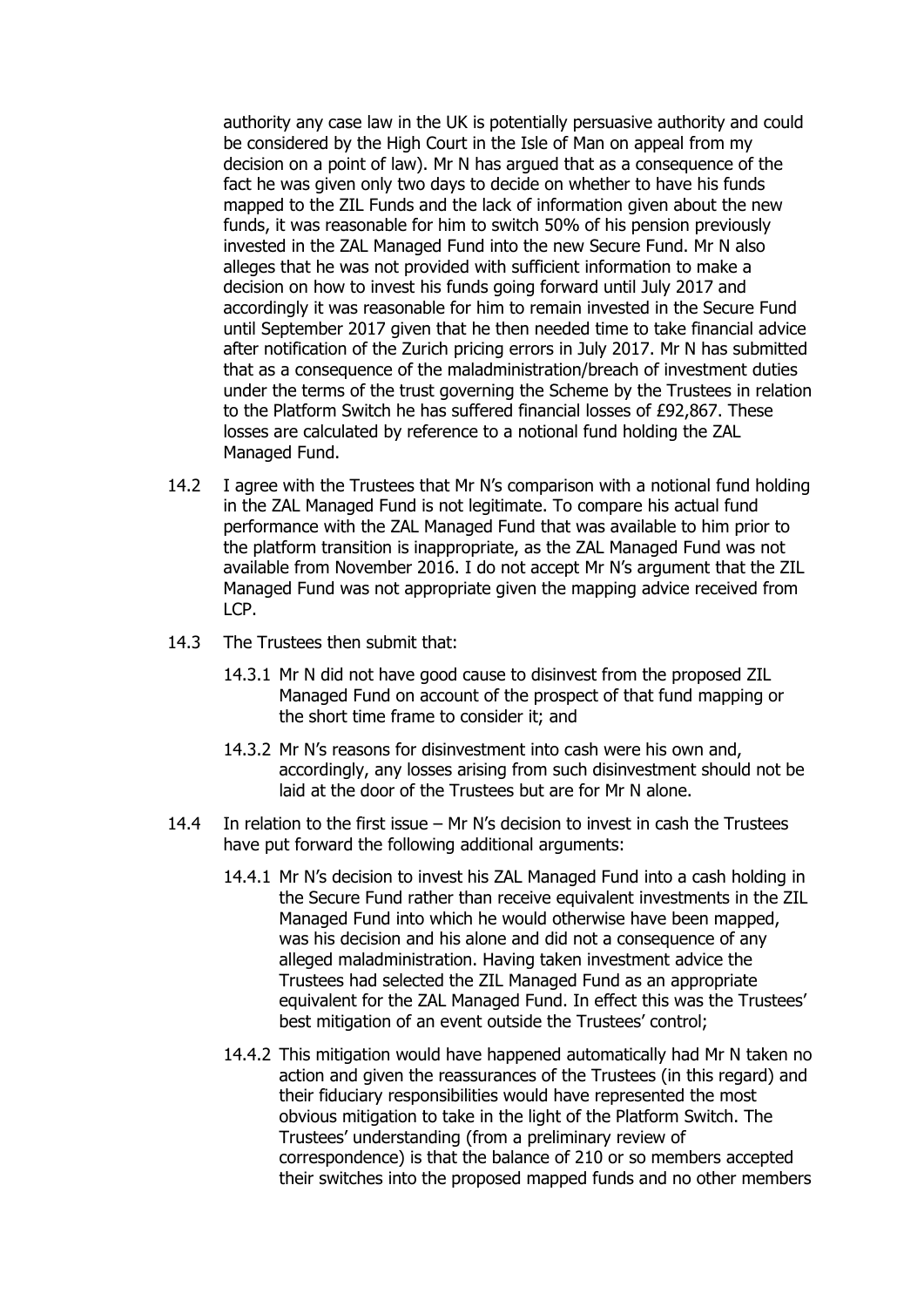authority any case law in the UK is potentially persuasive authority and could be considered by the High Court in the Isle of Man on appeal from my decision on a point of law). Mr N has argued that as a consequence of the fact he was given only two days to decide on whether to have his funds mapped to the ZIL Funds and the lack of information given about the new funds, it was reasonable for him to switch 50% of his pension previously invested in the ZAL Managed Fund into the new Secure Fund. Mr N also alleges that he was not provided with sufficient information to make a decision on how to invest his funds going forward until July 2017 and accordingly it was reasonable for him to remain invested in the Secure Fund until September 2017 given that he then needed time to take financial advice after notification of the Zurich pricing errors in July 2017. Mr N has submitted that as a consequence of the maladministration/breach of investment duties under the terms of the trust governing the Scheme by the Trustees in relation to the Platform Switch he has suffered financial losses of £92,867. These losses are calculated by reference to a notional fund holding the ZAL Managed Fund.

- 14.2 I agree with the Trustees that Mr N's comparison with a notional fund holding in the ZAL Managed Fund is not legitimate. To compare his actual fund performance with the ZAL Managed Fund that was available to him prior to the platform transition is inappropriate, as the ZAL Managed Fund was not available from November 2016. I do not accept Mr N's argument that the ZIL Managed Fund was not appropriate given the mapping advice received from LCP.
- 14.3 The Trustees then submit that:
	- 14.3.1 Mr N did not have good cause to disinvest from the proposed ZIL Managed Fund on account of the prospect of that fund mapping or the short time frame to consider it; and
	- 14.3.2 Mr N's reasons for disinvestment into cash were his own and, accordingly, any losses arising from such disinvestment should not be laid at the door of the Trustees but are for Mr N alone.
- 14.4 In relation to the first issue Mr N's decision to invest in cash the Trustees have put forward the following additional arguments:
	- 14.4.1 Mr N's decision to invest his ZAL Managed Fund into a cash holding in the Secure Fund rather than receive equivalent investments in the ZIL Managed Fund into which he would otherwise have been mapped, was his decision and his alone and did not a consequence of any alleged maladministration. Having taken investment advice the Trustees had selected the ZIL Managed Fund as an appropriate equivalent for the ZAL Managed Fund. In effect this was the Trustees' best mitigation of an event outside the Trustees' control;
	- 14.4.2 This mitigation would have happened automatically had Mr N taken no action and given the reassurances of the Trustees (in this regard) and their fiduciary responsibilities would have represented the most obvious mitigation to take in the light of the Platform Switch. The Trustees' understanding (from a preliminary review of correspondence) is that the balance of 210 or so members accepted their switches into the proposed mapped funds and no other members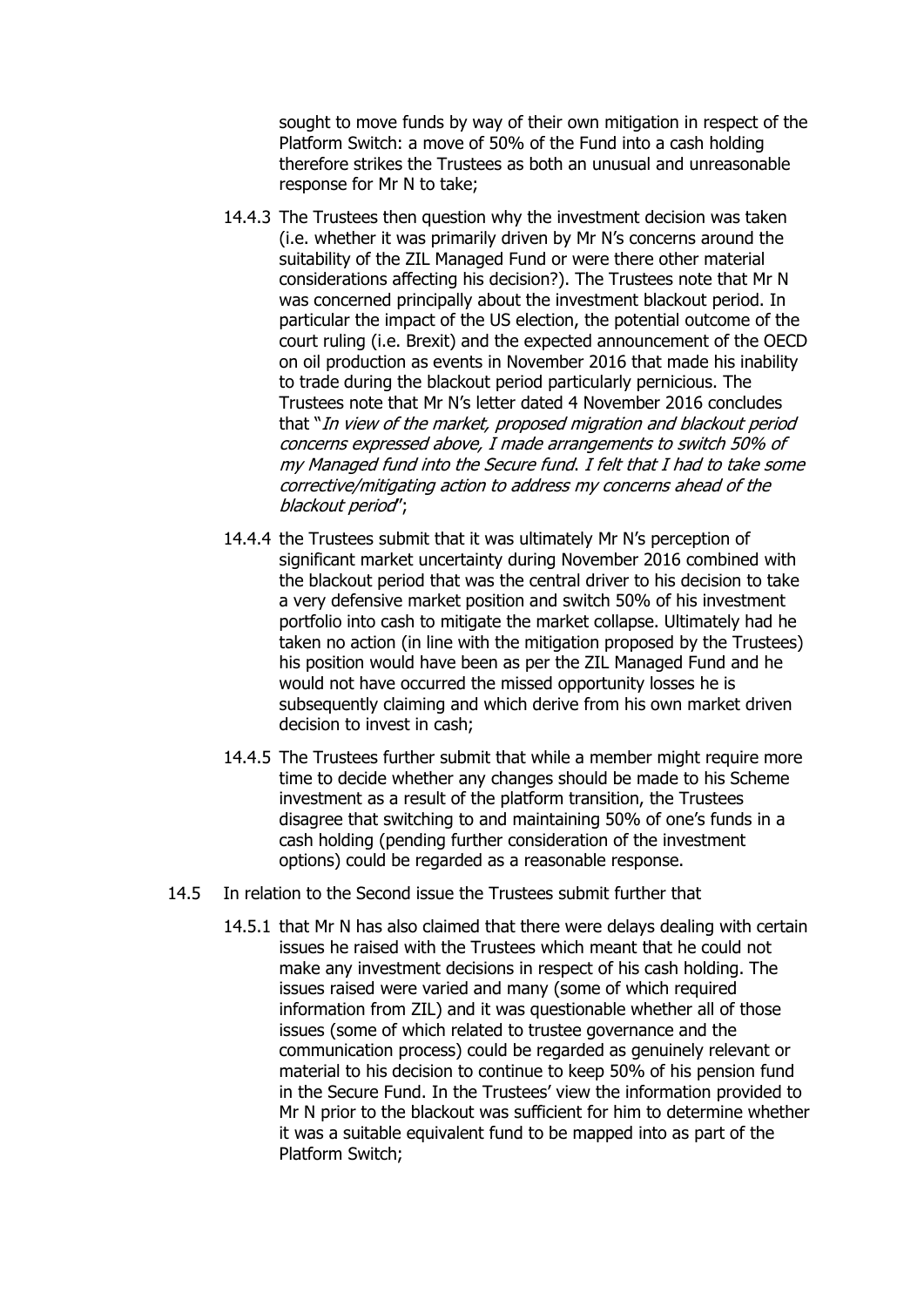sought to move funds by way of their own mitigation in respect of the Platform Switch: a move of 50% of the Fund into a cash holding therefore strikes the Trustees as both an unusual and unreasonable response for Mr N to take;

- 14.4.3 The Trustees then question why the investment decision was taken (i.e. whether it was primarily driven by Mr N's concerns around the suitability of the ZIL Managed Fund or were there other material considerations affecting his decision?). The Trustees note that Mr N was concerned principally about the investment blackout period. In particular the impact of the US election, the potential outcome of the court ruling (i.e. Brexit) and the expected announcement of the OECD on oil production as events in November 2016 that made his inability to trade during the blackout period particularly pernicious. The Trustees note that Mr N's letter dated 4 November 2016 concludes that "In view of the market, proposed migration and blackout period concerns expressed above, I made arrangements to switch 50% of my Managed fund into the Secure fund. I felt that I had to take some corrective/mitigating action to address my concerns ahead of the blackout period";
- 14.4.4 the Trustees submit that it was ultimately Mr N's perception of significant market uncertainty during November 2016 combined with the blackout period that was the central driver to his decision to take a very defensive market position and switch 50% of his investment portfolio into cash to mitigate the market collapse. Ultimately had he taken no action (in line with the mitigation proposed by the Trustees) his position would have been as per the ZIL Managed Fund and he would not have occurred the missed opportunity losses he is subsequently claiming and which derive from his own market driven decision to invest in cash;
- 14.4.5 The Trustees further submit that while a member might require more time to decide whether any changes should be made to his Scheme investment as a result of the platform transition, the Trustees disagree that switching to and maintaining 50% of one's funds in a cash holding (pending further consideration of the investment options) could be regarded as a reasonable response.
- 14.5 In relation to the Second issue the Trustees submit further that
	- 14.5.1 that Mr N has also claimed that there were delays dealing with certain issues he raised with the Trustees which meant that he could not make any investment decisions in respect of his cash holding. The issues raised were varied and many (some of which required information from ZIL) and it was questionable whether all of those issues (some of which related to trustee governance and the communication process) could be regarded as genuinely relevant or material to his decision to continue to keep 50% of his pension fund in the Secure Fund. In the Trustees' view the information provided to Mr N prior to the blackout was sufficient for him to determine whether it was a suitable equivalent fund to be mapped into as part of the Platform Switch;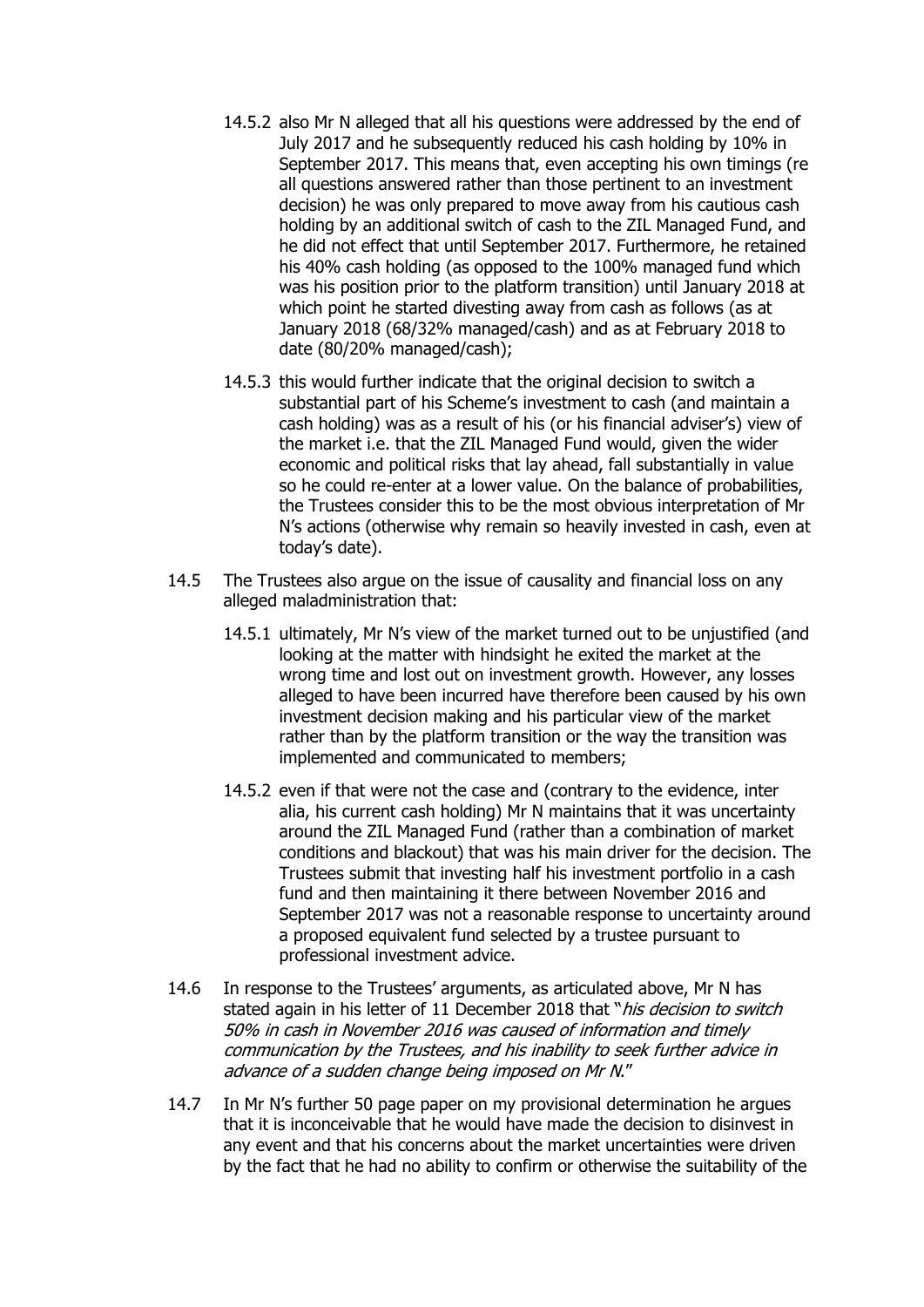- 14.5.2 also Mr N alleged that all his questions were addressed by the end of July 2017 and he subsequently reduced his cash holding by 10% in September 2017. This means that, even accepting his own timings (re all questions answered rather than those pertinent to an investment decision) he was only prepared to move away from his cautious cash holding by an additional switch of cash to the ZIL Managed Fund, and he did not effect that until September 2017. Furthermore, he retained his 40% cash holding (as opposed to the 100% managed fund which was his position prior to the platform transition) until January 2018 at which point he started divesting away from cash as follows (as at January 2018 (68/32% managed/cash) and as at February 2018 to date (80/20% managed/cash);
- 14.5.3 this would further indicate that the original decision to switch a substantial part of his Scheme's investment to cash (and maintain a cash holding) was as a result of his (or his financial adviser's) view of the market i.e. that the ZIL Managed Fund would, given the wider economic and political risks that lay ahead, fall substantially in value so he could re-enter at a lower value. On the balance of probabilities, the Trustees consider this to be the most obvious interpretation of Mr N's actions (otherwise why remain so heavily invested in cash, even at today's date).
- 14.5 The Trustees also argue on the issue of causality and financial loss on any alleged maladministration that:
	- 14.5.1 ultimately, Mr N's view of the market turned out to be unjustified (and looking at the matter with hindsight he exited the market at the wrong time and lost out on investment growth. However, any losses alleged to have been incurred have therefore been caused by his own investment decision making and his particular view of the market rather than by the platform transition or the way the transition was implemented and communicated to members;
	- 14.5.2 even if that were not the case and (contrary to the evidence, inter alia, his current cash holding) Mr N maintains that it was uncertainty around the ZIL Managed Fund (rather than a combination of market conditions and blackout) that was his main driver for the decision. The Trustees submit that investing half his investment portfolio in a cash fund and then maintaining it there between November 2016 and September 2017 was not a reasonable response to uncertainty around a proposed equivalent fund selected by a trustee pursuant to professional investment advice.
- 14.6 In response to the Trustees' arguments, as articulated above, Mr N has stated again in his letter of 11 December 2018 that "his decision to switch 50% in cash in November 2016 was caused of information and timely communication by the Trustees, and his inability to seek further advice in advance of a sudden change being imposed on Mr N."
- 14.7 In Mr N's further 50 page paper on my provisional determination he argues that it is inconceivable that he would have made the decision to disinvest in any event and that his concerns about the market uncertainties were driven by the fact that he had no ability to confirm or otherwise the suitability of the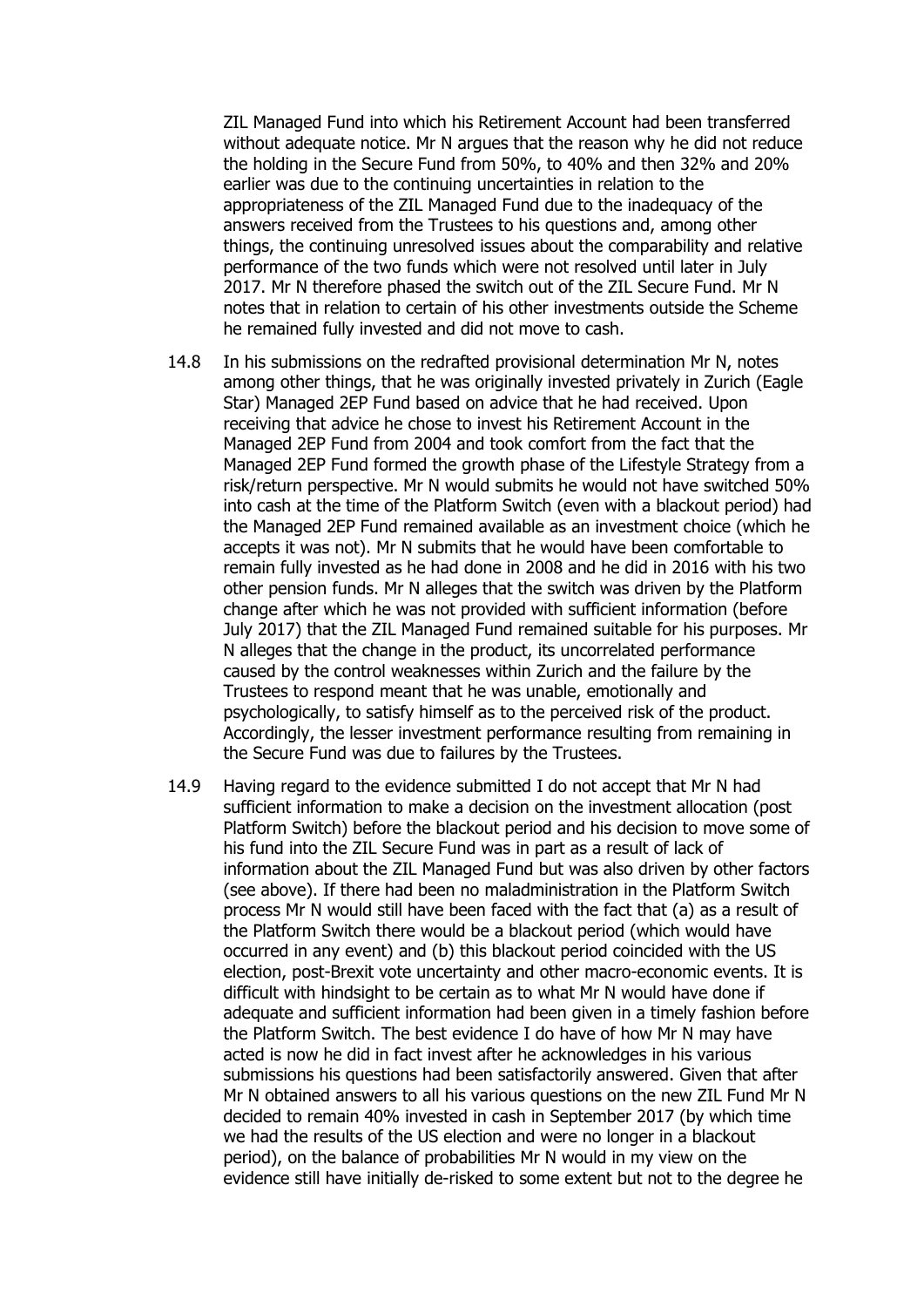ZIL Managed Fund into which his Retirement Account had been transferred without adequate notice. Mr N argues that the reason why he did not reduce the holding in the Secure Fund from 50%, to 40% and then 32% and 20% earlier was due to the continuing uncertainties in relation to the appropriateness of the ZIL Managed Fund due to the inadequacy of the answers received from the Trustees to his questions and, among other things, the continuing unresolved issues about the comparability and relative performance of the two funds which were not resolved until later in July 2017. Mr N therefore phased the switch out of the ZIL Secure Fund. Mr N notes that in relation to certain of his other investments outside the Scheme he remained fully invested and did not move to cash.

- 14.8 In his submissions on the redrafted provisional determination Mr N, notes among other things, that he was originally invested privately in Zurich (Eagle Star) Managed 2EP Fund based on advice that he had received. Upon receiving that advice he chose to invest his Retirement Account in the Managed 2EP Fund from 2004 and took comfort from the fact that the Managed 2EP Fund formed the growth phase of the Lifestyle Strategy from a risk/return perspective. Mr N would submits he would not have switched 50% into cash at the time of the Platform Switch (even with a blackout period) had the Managed 2EP Fund remained available as an investment choice (which he accepts it was not). Mr N submits that he would have been comfortable to remain fully invested as he had done in 2008 and he did in 2016 with his two other pension funds. Mr N alleges that the switch was driven by the Platform change after which he was not provided with sufficient information (before July 2017) that the ZIL Managed Fund remained suitable for his purposes. Mr N alleges that the change in the product, its uncorrelated performance caused by the control weaknesses within Zurich and the failure by the Trustees to respond meant that he was unable, emotionally and psychologically, to satisfy himself as to the perceived risk of the product. Accordingly, the lesser investment performance resulting from remaining in the Secure Fund was due to failures by the Trustees.
- 14.9 Having regard to the evidence submitted I do not accept that Mr N had sufficient information to make a decision on the investment allocation (post Platform Switch) before the blackout period and his decision to move some of his fund into the ZIL Secure Fund was in part as a result of lack of information about the ZIL Managed Fund but was also driven by other factors (see above). If there had been no maladministration in the Platform Switch process Mr N would still have been faced with the fact that (a) as a result of the Platform Switch there would be a blackout period (which would have occurred in any event) and (b) this blackout period coincided with the US election, post-Brexit vote uncertainty and other macro-economic events. It is difficult with hindsight to be certain as to what Mr N would have done if adequate and sufficient information had been given in a timely fashion before the Platform Switch. The best evidence I do have of how Mr N may have acted is now he did in fact invest after he acknowledges in his various submissions his questions had been satisfactorily answered. Given that after Mr N obtained answers to all his various questions on the new ZIL Fund Mr N decided to remain 40% invested in cash in September 2017 (by which time we had the results of the US election and were no longer in a blackout period), on the balance of probabilities Mr N would in my view on the evidence still have initially de-risked to some extent but not to the degree he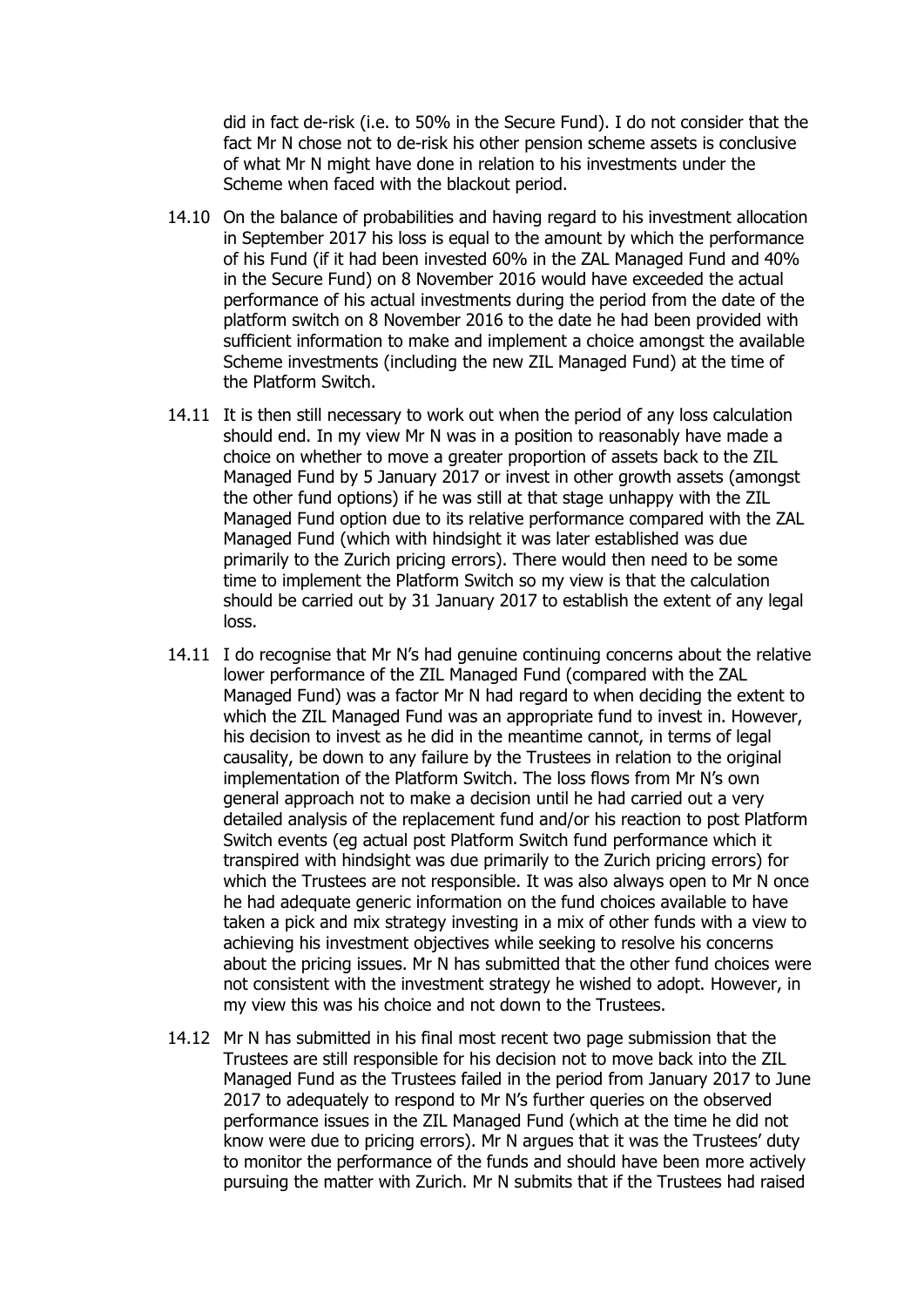did in fact de-risk (i.e. to 50% in the Secure Fund). I do not consider that the fact Mr N chose not to de-risk his other pension scheme assets is conclusive of what Mr N might have done in relation to his investments under the Scheme when faced with the blackout period.

- 14.10 On the balance of probabilities and having regard to his investment allocation in September 2017 his loss is equal to the amount by which the performance of his Fund (if it had been invested 60% in the ZAL Managed Fund and 40% in the Secure Fund) on 8 November 2016 would have exceeded the actual performance of his actual investments during the period from the date of the platform switch on 8 November 2016 to the date he had been provided with sufficient information to make and implement a choice amongst the available Scheme investments (including the new ZIL Managed Fund) at the time of the Platform Switch.
- 14.11 It is then still necessary to work out when the period of any loss calculation should end. In my view Mr N was in a position to reasonably have made a choice on whether to move a greater proportion of assets back to the ZIL Managed Fund by 5 January 2017 or invest in other growth assets (amongst the other fund options) if he was still at that stage unhappy with the ZIL Managed Fund option due to its relative performance compared with the ZAL Managed Fund (which with hindsight it was later established was due primarily to the Zurich pricing errors). There would then need to be some time to implement the Platform Switch so my view is that the calculation should be carried out by 31 January 2017 to establish the extent of any legal loss.
- 14.11 I do recognise that Mr N's had genuine continuing concerns about the relative lower performance of the ZIL Managed Fund (compared with the ZAL Managed Fund) was a factor Mr N had regard to when deciding the extent to which the ZIL Managed Fund was an appropriate fund to invest in. However, his decision to invest as he did in the meantime cannot, in terms of legal causality, be down to any failure by the Trustees in relation to the original implementation of the Platform Switch. The loss flows from Mr N's own general approach not to make a decision until he had carried out a very detailed analysis of the replacement fund and/or his reaction to post Platform Switch events (eg actual post Platform Switch fund performance which it transpired with hindsight was due primarily to the Zurich pricing errors) for which the Trustees are not responsible. It was also always open to Mr N once he had adequate generic information on the fund choices available to have taken a pick and mix strategy investing in a mix of other funds with a view to achieving his investment objectives while seeking to resolve his concerns about the pricing issues. Mr N has submitted that the other fund choices were not consistent with the investment strategy he wished to adopt. However, in my view this was his choice and not down to the Trustees.
- 14.12 Mr N has submitted in his final most recent two page submission that the Trustees are still responsible for his decision not to move back into the ZIL Managed Fund as the Trustees failed in the period from January 2017 to June 2017 to adequately to respond to Mr N's further queries on the observed performance issues in the ZIL Managed Fund (which at the time he did not know were due to pricing errors). Mr N argues that it was the Trustees' duty to monitor the performance of the funds and should have been more actively pursuing the matter with Zurich. Mr N submits that if the Trustees had raised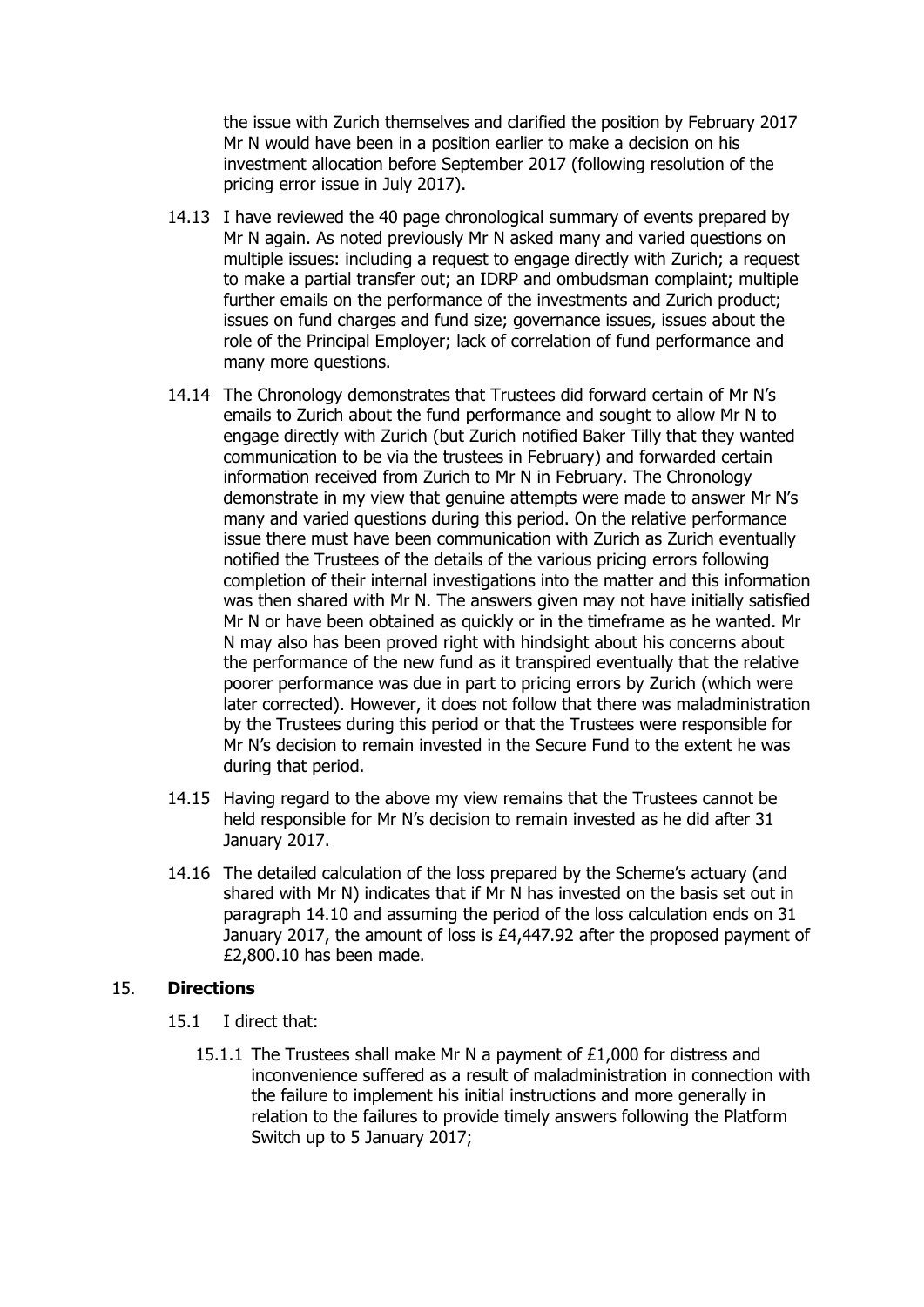the issue with Zurich themselves and clarified the position by February 2017 Mr N would have been in a position earlier to make a decision on his investment allocation before September 2017 (following resolution of the pricing error issue in July 2017).

- 14.13 I have reviewed the 40 page chronological summary of events prepared by Mr N again. As noted previously Mr N asked many and varied questions on multiple issues: including a request to engage directly with Zurich; a request to make a partial transfer out; an IDRP and ombudsman complaint; multiple further emails on the performance of the investments and Zurich product; issues on fund charges and fund size; governance issues, issues about the role of the Principal Employer; lack of correlation of fund performance and many more questions.
- 14.14 The Chronology demonstrates that Trustees did forward certain of Mr N's emails to Zurich about the fund performance and sought to allow Mr N to engage directly with Zurich (but Zurich notified Baker Tilly that they wanted communication to be via the trustees in February) and forwarded certain information received from Zurich to Mr N in February. The Chronology demonstrate in my view that genuine attempts were made to answer Mr N's many and varied questions during this period. On the relative performance issue there must have been communication with Zurich as Zurich eventually notified the Trustees of the details of the various pricing errors following completion of their internal investigations into the matter and this information was then shared with Mr N. The answers given may not have initially satisfied Mr N or have been obtained as quickly or in the timeframe as he wanted. Mr N may also has been proved right with hindsight about his concerns about the performance of the new fund as it transpired eventually that the relative poorer performance was due in part to pricing errors by Zurich (which were later corrected). However, it does not follow that there was maladministration by the Trustees during this period or that the Trustees were responsible for Mr N's decision to remain invested in the Secure Fund to the extent he was during that period.
- 14.15 Having regard to the above my view remains that the Trustees cannot be held responsible for Mr N's decision to remain invested as he did after 31 January 2017.
- 14.16 The detailed calculation of the loss prepared by the Scheme's actuary (and shared with Mr N) indicates that if Mr N has invested on the basis set out in paragraph 14.10 and assuming the period of the loss calculation ends on 31 January 2017, the amount of loss is £4,447.92 after the proposed payment of £2,800.10 has been made.

#### 15. **Directions**

- 15.1 I direct that:
	- 15.1.1 The Trustees shall make Mr N a payment of £1,000 for distress and inconvenience suffered as a result of maladministration in connection with the failure to implement his initial instructions and more generally in relation to the failures to provide timely answers following the Platform Switch up to 5 January 2017;